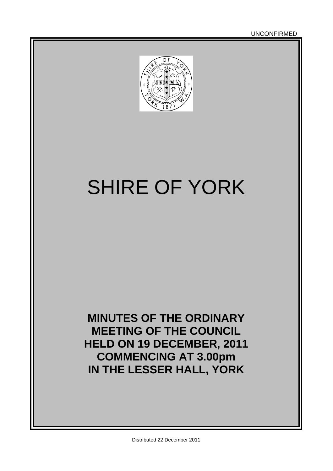UNCONFIRMED



# SHIRE OF YORK

**MINUTES OF THE ORDINARY MEETING OF THE COUNCIL HELD ON 19 DECEMBER, 2011 COMMENCING AT 3.00pm IN THE LESSER HALL, YORK**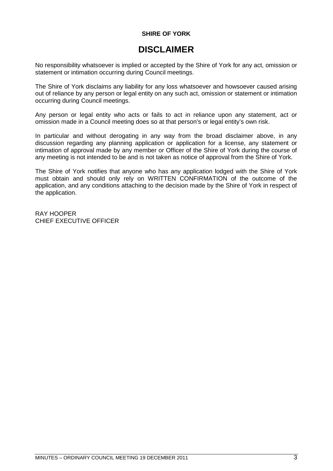#### **SHIRE OF YORK**

### **DISCLAIMER**

No responsibility whatsoever is implied or accepted by the Shire of York for any act, omission or statement or intimation occurring during Council meetings.

The Shire of York disclaims any liability for any loss whatsoever and howsoever caused arising out of reliance by any person or legal entity on any such act, omission or statement or intimation occurring during Council meetings.

Any person or legal entity who acts or fails to act in reliance upon any statement, act or omission made in a Council meeting does so at that person's or legal entity's own risk.

In particular and without derogating in any way from the broad disclaimer above, in any discussion regarding any planning application or application for a license, any statement or intimation of approval made by any member or Officer of the Shire of York during the course of any meeting is not intended to be and is not taken as notice of approval from the Shire of York.

The Shire of York notifies that anyone who has any application lodged with the Shire of York must obtain and should only rely on WRITTEN CONFIRMATION of the outcome of the application, and any conditions attaching to the decision made by the Shire of York in respect of the application.

RAY HOOPER CHIEF EXECUTIVE OFFICER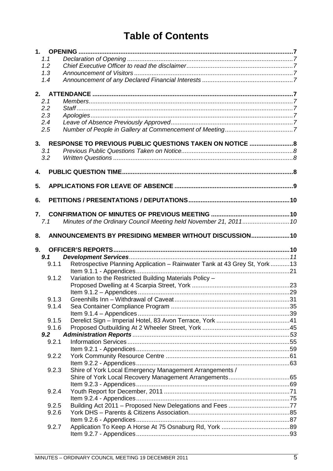# **Table of Contents**

|                           | 1.1   |                                                                           |  |
|---------------------------|-------|---------------------------------------------------------------------------|--|
|                           | 1.2   |                                                                           |  |
|                           | 1.3   |                                                                           |  |
|                           | 1.4   |                                                                           |  |
|                           |       |                                                                           |  |
| 2.                        |       |                                                                           |  |
| 2.1                       |       |                                                                           |  |
| 2.2                       |       |                                                                           |  |
| 2.3                       |       |                                                                           |  |
| 2.4                       |       |                                                                           |  |
| 2.5                       |       |                                                                           |  |
| 3.                        |       | RESPONSE TO PREVIOUS PUBLIC QUESTIONS TAKEN ON NOTICE  8                  |  |
| 3.1                       |       |                                                                           |  |
| 3.2                       |       |                                                                           |  |
|                           |       |                                                                           |  |
| $\overline{\mathbf{4}}$ . |       |                                                                           |  |
| 5.                        |       |                                                                           |  |
|                           |       |                                                                           |  |
| 6.                        |       |                                                                           |  |
|                           |       |                                                                           |  |
| 7.                        |       |                                                                           |  |
|                           | 7.1   | Minutes of the Ordinary Council Meeting held November 21, 2011 10         |  |
|                           |       |                                                                           |  |
| 8.                        |       | ANNOUNCEMENTS BY PRESIDING MEMBER WITHOUT DISCUSSION 10                   |  |
|                           |       |                                                                           |  |
| 9.                        |       |                                                                           |  |
|                           | 9.1   |                                                                           |  |
|                           | 9.1.1 |                                                                           |  |
|                           |       | Retrospective Planning Application - Rainwater Tank at 43 Grey St, York13 |  |
|                           | 9.1.2 |                                                                           |  |
|                           |       | Variation to the Restricted Building Materials Policy -                   |  |
|                           |       |                                                                           |  |
|                           | 9.1.3 |                                                                           |  |
|                           | 9.1.4 |                                                                           |  |
|                           |       |                                                                           |  |
|                           | 9.1.5 |                                                                           |  |
|                           | 9.1.6 |                                                                           |  |
|                           | 9.2   |                                                                           |  |
|                           | 9.2.1 |                                                                           |  |
|                           |       |                                                                           |  |
|                           | 9.2.2 |                                                                           |  |
|                           |       |                                                                           |  |
|                           | 9.2.3 | Shire of York Local Emergency Management Arrangements /                   |  |
|                           |       |                                                                           |  |
|                           |       |                                                                           |  |
|                           | 9.2.4 |                                                                           |  |
|                           |       |                                                                           |  |
|                           | 9.2.5 |                                                                           |  |
|                           | 9.2.6 |                                                                           |  |
|                           |       |                                                                           |  |
|                           | 9.2.7 |                                                                           |  |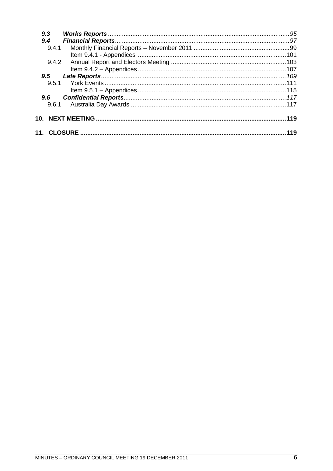| 9.3           |     |
|---------------|-----|
| 9,4           |     |
| 9.4.1         |     |
|               |     |
| 9.4.2         |     |
|               |     |
| $9.5^{\circ}$ |     |
| 9.5.1         |     |
|               |     |
| 9.6           |     |
| 9.6.1         |     |
| 10.           |     |
|               | 119 |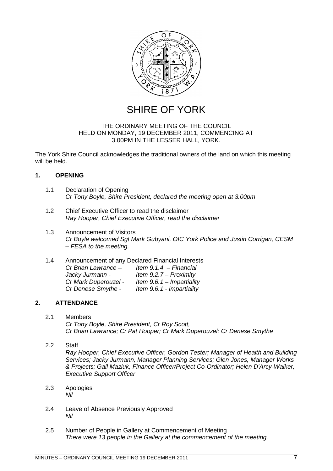

SHIRE OF YORK

#### THE ORDINARY MEETING OF THE COUNCIL HELD ON MONDAY, 19 DECEMBER 2011, COMMENCING AT 3.00PM IN THE LESSER HALL, YORK.

The York Shire Council acknowledges the traditional owners of the land on which this meeting will be held.

### <span id="page-6-0"></span>**1. OPENING**

- <span id="page-6-1"></span>1.1 Declaration of Opening *Cr Tony Boyle, Shire President, declared the meeting open at 3.00pm*
- <span id="page-6-2"></span>1.2 Chief Executive Officer to read the disclaimer *Ray Hooper, Chief Executive Officer, read the disclaimer*
- <span id="page-6-3"></span>1.3 Announcement of Visitors *Cr Boyle welcomed Sgt Mark Gubyani, OIC York Police and Justin Corrigan, CESM – FESA to the meeting.*
- <span id="page-6-4"></span>1.4 Announcement of any Declared Financial Interests *Cr Brian Lawrance – Item 9.1.4 – Financial Jacky Jurmann - Item 9.2.7 – Proximity Cr Mark Duperouzel - Item 9.6.1 – Impartiality Cr Denese Smythe - Item 9.6.1 - Impartiality*

#### **2. ATTENDANCE**

- <span id="page-6-6"></span><span id="page-6-5"></span>2.1 Members *Cr Tony Boyle, Shire President, Cr Roy Scott, Cr Brian Lawrance; Cr Pat Hooper; Cr Mark Duperouzel; Cr Denese Smythe*
- 2.2 Staff

<span id="page-6-7"></span>*Ray Hooper, Chief Executive Officer, Gordon Tester; Manager of Health and Building Services; Jacky Jurmann, Manager Planning Services; Glen Jones, Manager Works & Projects; Gail Maziuk, Finance Officer/Project Co-Ordinator; Helen D'Arcy-Walker, Executive Support Officer*

- <span id="page-6-8"></span>2.3 Apologies *Nil*
- <span id="page-6-9"></span>2.4 Leave of Absence Previously Approved *Nil*
- <span id="page-6-10"></span>2.5 Number of People in Gallery at Commencement of Meeting *There were 13 people in the Gallery at the commencement of the meeting.*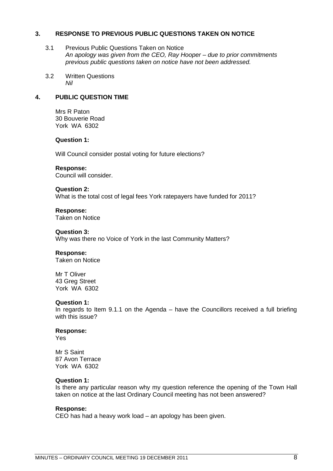#### **3. RESPONSE TO PREVIOUS PUBLIC QUESTIONS TAKEN ON NOTICE**

- <span id="page-7-1"></span><span id="page-7-0"></span>3.1 Previous Public Questions Taken on Notice *An apology was given from the CEO, Ray Hooper – due to prior commitments previous public questions taken on notice have not been addressed.*
- <span id="page-7-2"></span>3.2 Written Questions *Nil*

### **4. PUBLIC QUESTION TIME**

<span id="page-7-3"></span>Mrs R Paton 30 Bouverie Road York WA 6302

#### **Question 1:**

Will Council consider postal voting for future elections?

#### **Response:**

Council will consider.

#### **Question 2:**

What is the total cost of legal fees York ratepayers have funded for 2011?

#### **Response:**

Taken on Notice

#### **Question 3:**

Why was there no Voice of York in the last Community Matters?

#### **Response:**

Taken on Notice

Mr T Oliver 43 Greg Street York WA 6302

#### **Question 1:**

In regards to Item 9.1.1 on the Agenda – have the Councillors received a full briefing with this issue?

#### **Response:**

Yes

Mr S Saint 87 Avon Terrace York WA 6302

#### **Question 1:**

Is there any particular reason why my question reference the opening of the Town Hall taken on notice at the last Ordinary Council meeting has not been answered?

#### **Response:**

CEO has had a heavy work load – an apology has been given.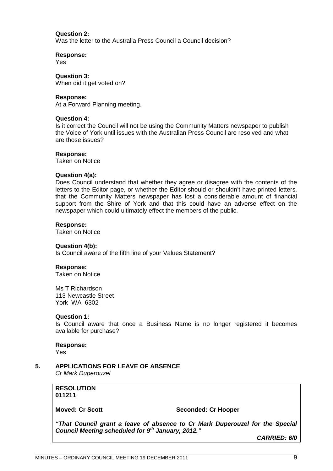#### **Question 2:**

Was the letter to the Australia Press Council a Council decision?

**Response:**

Yes

**Question 3:** When did it get voted on?

#### **Response:**

At a Forward Planning meeting.

#### **Question 4:**

Is it correct the Council will not be using the Community Matters newspaper to publish the Voice of York until issues with the Australian Press Council are resolved and what are those issues?

#### **Response:**

Taken on Notice

#### **Question 4(a):**

Does Council understand that whether they agree or disagree with the contents of the letters to the Editor page, or whether the Editor should or shouldn't have printed letters, that the Community Matters newspaper has lost a considerable amount of financial support from the Shire of York and that this could have an adverse effect on the newspaper which could ultimately effect the members of the public.

#### **Response:**

Taken on Notice

#### **Question 4(b):**

Is Council aware of the fifth line of your Values Statement?

#### **Response:**

Taken on Notice

Ms T Richardson 113 Newcastle Street York WA 6302

#### **Question 1:**

Is Council aware that once a Business Name is no longer registered it becomes available for purchase?

### **Response:**

<span id="page-8-0"></span>Yes

**5. APPLICATIONS FOR LEAVE OF ABSENCE** *Cr Mark Duperouzel*

#### **RESOLUTION 011211**

### **Moved: Cr Scott** Seconded: Cr Hooper

*"That Council grant a leave of absence to Cr Mark Duperouzel for the Special Council Meeting scheduled for 9th January, 2012."*

*CARRIED: 6/0*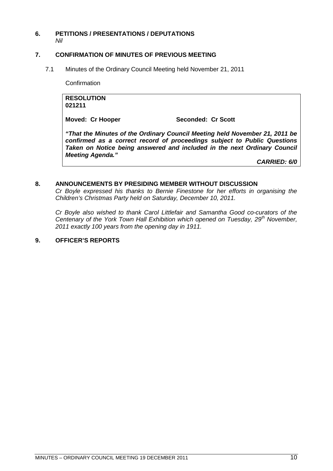#### <span id="page-9-0"></span>**6. PETITIONS / PRESENTATIONS / DEPUTATIONS** *Nil*

#### <span id="page-9-1"></span>**7. CONFIRMATION OF MINUTES OF PREVIOUS MEETING**

7.1 Minutes of the Ordinary Council Meeting held November 21, 2011

<span id="page-9-2"></span>**Confirmation** 

**RESOLUTION 021211**

Moved: Cr Hooper Seconded: Cr Scott

*"That the Minutes of the Ordinary Council Meeting held November 21, 2011 be confirmed as a correct record of proceedings subject to Public Questions Taken on Notice being answered and included in the next Ordinary Council Meeting Agenda."*

*CARRIED: 6/0*

#### **8. ANNOUNCEMENTS BY PRESIDING MEMBER WITHOUT DISCUSSION**

<span id="page-9-3"></span>*Cr Boyle expressed his thanks to Bernie Finestone for her efforts in organising the Children's Christmas Party held on Saturday, December 10, 2011.*

*Cr Boyle also wished to thank Carol Littlefair and Samantha Good co-curators of the Centenary of the York Town Hall Exhibition which opened on Tuesday, 29th November, 2011 exactly 100 years from the opening day in 1911.*

#### <span id="page-9-4"></span>**9. OFFICER'S REPORTS**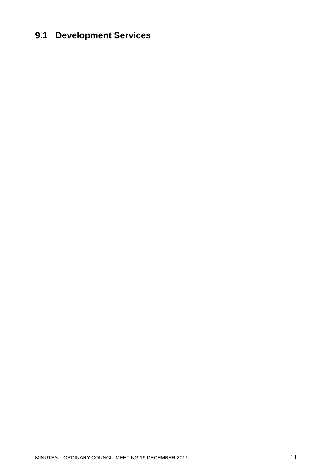## <span id="page-10-0"></span>**9.1 Development Services**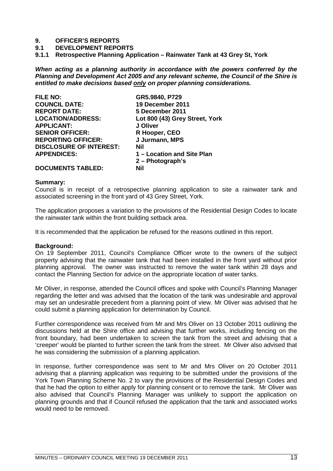#### **9. OFFICER'S REPORTS**

**9.1 DEVELOPMENT REPORTS**

<span id="page-12-0"></span>**9.1.1 Retrospective Planning Application – Rainwater Tank at 43 Grey St, York**

*When acting as a planning authority in accordance with the powers conferred by the Planning and Development Act 2005 and any relevant scheme, the Council of the Shire is entitled to make decisions based only on proper planning considerations.*

| <b>FILE NO:</b>                | GR5.9840, P729                 |
|--------------------------------|--------------------------------|
| <b>COUNCIL DATE:</b>           | 19 December 2011               |
| <b>REPORT DATE:</b>            | 5 December 2011                |
| <b>LOCATION/ADDRESS:</b>       | Lot 800 (43) Grey Street, York |
| <b>APPLICANT:</b>              | J Oliver                       |
| <b>SENIOR OFFICER:</b>         | R Hooper, CEO                  |
| <b>REPORTING OFFICER:</b>      | J Jurmann, MPS                 |
| <b>DISCLOSURE OF INTEREST:</b> | Nil                            |
| <b>APPENDICES:</b>             | 1 – Location and Site Plan     |
|                                | $2 - Photograph's$             |
| <b>DOCUMENTS TABLED:</b>       | Nil                            |

#### **Summary:**

Council is in receipt of a retrospective planning application to site a rainwater tank and associated screening in the front yard of 43 Grey Street, York.

The application proposes a variation to the provisions of the Residential Design Codes to locate the rainwater tank within the front building setback area.

It is recommended that the application be refused for the reasons outlined in this report.

#### **Background:**

On 19 September 2011, Council's Compliance Officer wrote to the owners of the subject property advising that the rainwater tank that had been installed in the front yard without prior planning approval. The owner was instructed to remove the water tank within 28 days and contact the Planning Section for advice on the appropriate location of water tanks.

Mr Oliver, in response, attended the Council offices and spoke with Council's Planning Manager regarding the letter and was advised that the location of the tank was undesirable and approval may set an undesirable precedent from a planning point of view. Mr Oliver was advised that he could submit a planning application for determination by Council.

Further correspondence was received from Mr and Mrs Oliver on 13 October 2011 outlining the discussions held at the Shire office and advising that further works, including fencing on the front boundary, had been undertaken to screen the tank from the street and advising that a 'creeper' would be planted to further screen the tank from the street. Mr Oliver also advised that he was considering the submission of a planning application.

In response, further correspondence was sent to Mr and Mrs Oliver on 20 October 2011 advising that a planning application was requiring to be submitted under the provisions of the York Town Planning Scheme No. 2 to vary the provisions of the Residential Design Codes and that he had the option to either apply for planning consent or to remove the tank. Mr Oliver was also advised that Council's Planning Manager was unlikely to support the application on planning grounds and that if Council refused the application that the tank and associated works would need to be removed.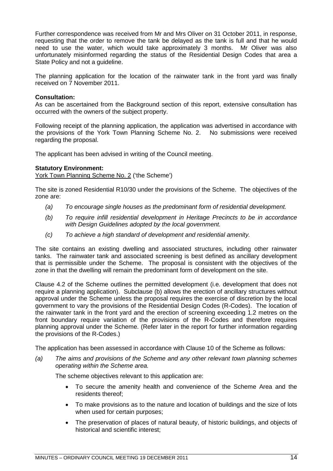Further correspondence was received from Mr and Mrs Oliver on 31 October 2011, in response, requesting that the order to remove the tank be delayed as the tank is full and that he would need to use the water, which would take approximately 3 months. Mr Oliver was also unfortunately misinformed regarding the status of the Residential Design Codes that area a State Policy and not a guideline.

The planning application for the location of the rainwater tank in the front yard was finally received on 7 November 2011.

#### **Consultation:**

As can be ascertained from the Background section of this report, extensive consultation has occurred with the owners of the subject property.

Following receipt of the planning application, the application was advertised in accordance with the provisions of the York Town Planning Scheme No. 2. No submissions were received regarding the proposal.

The applicant has been advised in writing of the Council meeting.

#### **Statutory Environment:**

York Town Planning Scheme No. 2 ('the Scheme')

The site is zoned Residential R10/30 under the provisions of the Scheme. The objectives of the zone are:

- *(a) To encourage single houses as the predominant form of residential development.*
- *(b) To require infill residential development in Heritage Precincts to be in accordance with Design Guidelines adopted by the local government.*
- *(c) To achieve a high standard of development and residential amenity.*

The site contains an existing dwelling and associated structures, including other rainwater tanks. The rainwater tank and associated screening is best defined as ancillary development that is permissible under the Scheme. The proposal is consistent with the objectives of the zone in that the dwelling will remain the predominant form of development on the site.

Clause 4.2 of the Scheme outlines the permitted development (i.e. development that does not require a planning application). Subclause (b) allows the erection of ancillary structures without approval under the Scheme unless the proposal requires the exercise of discretion by the local government to vary the provisions of the Residential Design Codes (R-Codes). The location of the rainwater tank in the front yard and the erection of screening exceeding 1.2 metres on the front boundary require variation of the provisions of the R-Codes and therefore requires planning approval under the Scheme. (Refer later in the report for further information regarding the provisions of the R-Codes.)

The application has been assessed in accordance with Clause 10 of the Scheme as follows:

*(a) The aims and provisions of the Scheme and any other relevant town planning schemes operating within the Scheme area.*

The scheme objectives relevant to this application are:

- To secure the amenity health and convenience of the Scheme Area and the residents thereof;
- To make provisions as to the nature and location of buildings and the size of lots when used for certain purposes;
- The preservation of places of natural beauty, of historic buildings, and objects of historical and scientific interest;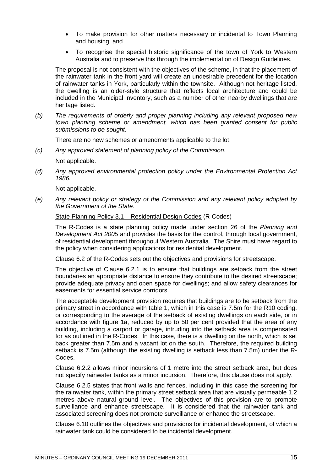- To make provision for other matters necessary or incidental to Town Planning and housing; and
- To recognise the special historic significance of the town of York to Western Australia and to preserve this through the implementation of Design Guidelines.

The proposal is not consistent with the objectives of the scheme, in that the placement of the rainwater tank in the front yard will create an undesirable precedent for the location of rainwater tanks in York, particularly within the townsite. Although not heritage listed, the dwelling is an older-style structure that reflects local architecture and could be included in the Municipal Inventory, such as a number of other nearby dwellings that are heritage listed.

*(b) The requirements of orderly and proper planning including any relevant proposed new town planning scheme or amendment, which has been granted consent for public submissions to be sought.*

There are no new schemes or amendments applicable to the lot.

*(c) Any approved statement of planning policy of the Commission.*

Not applicable.

*(d) Any approved environmental protection policy under the Environmental Protection Act 1986.*

Not applicable.

*(e) Any relevant policy or strategy of the Commission and any relevant policy adopted by the Government of the State.*

State Planning Policy 3.1 – Residential Design Codes (R-Codes)

The R-Codes is a state planning policy made under section 26 of the *Planning and Development Act 2005* and provides the basis for the control, through local government, of residential development throughout Western Australia. The Shire must have regard to the policy when considering applications for residential development.

Clause 6.2 of the R-Codes sets out the objectives and provisions for streetscape.

The objective of Clause 6.2.1 is to ensure that buildings are setback from the street boundaries an appropriate distance to ensure they contribute to the desired streetscape; provide adequate privacy and open space for dwellings; and allow safety clearances for easements for essential service corridors.

The acceptable development provision requires that buildings are to be setback from the primary street in accordance with table 1, which in this case is 7.5m for the R10 coding, or corresponding to the average of the setback of existing dwellings on each side, or in accordance with figure 1a, reduced by up to 50 per cent provided that the area of any building, including a carport or garage, intruding into the setback area is compensated for as outlined in the R-Codes. In this case, there is a dwelling on the north, which is set back greater than 7.5m and a vacant lot on the south. Therefore, the required building setback is 7.5m (although the existing dwelling is setback less than 7.5m) under the R-Codes.

Clause 6.2.2 allows minor incursions of 1 metre into the street setback area, but does not specify rainwater tanks as a minor incursion. Therefore, this clause does not apply.

Clause 6.2.5 states that front walls and fences, including in this case the screening for the rainwater tank, within the primary street setback area that are visually permeable 1.2 metres above natural ground level. The objectives of this provision are to promote surveillance and enhance streetscape. It is considered that the rainwater tank and associated screening does not promote surveillance or enhance the streetscape.

Clause 6.10 outlines the objectives and provisions for incidental development, of which a rainwater tank could be considered to be incidental development.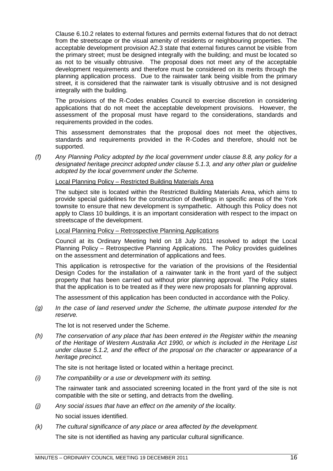Clause 6.10.2 relates to external fixtures and permits external fixtures that do not detract from the streetscape or the visual amenity of residents or neighbouring properties. The acceptable development provision A2.3 state that external fixtures cannot be visible from the primary street; must be designed integrally with the building; and must be located so as not to be visually obtrusive. The proposal does not meet any of the acceptable development requirements and therefore must be considered on its merits through the planning application process. Due to the rainwater tank being visible from the primary street, it is considered that the rainwater tank is visually obtrusive and is not designed integrally with the building.

The provisions of the R-Codes enables Council to exercise discretion in considering applications that do not meet the acceptable development provisions. However, the assessment of the proposal must have regard to the considerations, standards and requirements provided in the codes.

This assessment demonstrates that the proposal does not meet the objectives, standards and requirements provided in the R-Codes and therefore, should not be supported.

*(f) Any Planning Policy adopted by the local government under clause 8.8, any policy for a designated heritage precinct adopted under clause 5.1.3, and any other plan or guideline adopted by the local government under the Scheme.*

#### Local Planning Policy – Restricted Building Materials Area

The subject site is located within the Restricted Building Materials Area, which aims to provide special guidelines for the construction of dwellings in specific areas of the York townsite to ensure that new development is sympathetic. Although this Policy does not apply to Class 10 buildings, it is an important consideration with respect to the impact on streetscape of the development.

#### Local Planning Policy – Retrospective Planning Applications

Council at its Ordinary Meeting held on 18 July 2011 resolved to adopt the Local Planning Policy – Retrospective Planning Applications. The Policy provides guidelines on the assessment and determination of applications and fees.

This application is retrospective for the variation of the provisions of the Residential Design Codes for the installation of a rainwater tank in the front yard of the subject property that has been carried out without prior planning approval. The Policy states that the application is to be treated as if they were new proposals for planning approval.

The assessment of this application has been conducted in accordance with the Policy.

*(g) In the case of land reserved under the Scheme, the ultimate purpose intended for the reserve.*

The lot is not reserved under the Scheme.

*(h) The conservation of any place that has been entered in the Register within the meaning of the Heritage of Western Australia Act 1990, or which is included in the Heritage List under clause 5.1.2, and the effect of the proposal on the character or appearance of a heritage precinct.*

The site is not heritage listed or located within a heritage precinct.

*(i) The compatibility or a use or development with its setting.*

The rainwater tank and associated screening located in the front yard of the site is not compatible with the site or setting, and detracts from the dwelling.

*(j) Any social issues that have an effect on the amenity of the locality.*

No social issues identified.

*(k) The cultural significance of any place or area affected by the development.*

The site is not identified as having any particular cultural significance.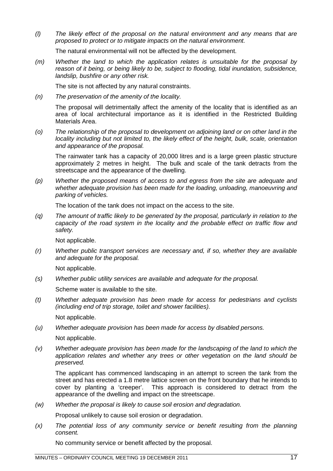*(l) The likely effect of the proposal on the natural environment and any means that are proposed to protect or to mitigate impacts on the natural environment.*

The natural environmental will not be affected by the development.

*(m) Whether the land to which the application relates is unsuitable for the proposal by reason of it being, or being likely to be, subject to flooding, tidal inundation, subsidence, landslip, bushfire or any other risk.*

The site is not affected by any natural constraints.

*(n) The preservation of the amenity of the locality.*

The proposal will detrimentally affect the amenity of the locality that is identified as an area of local architectural importance as it is identified in the Restricted Building Materials Area.

*(o) The relationship of the proposal to development on adjoining land or on other land in the locality including but not limited to, the likely effect of the height, bulk, scale, orientation and appearance of the proposal.*

The rainwater tank has a capacity of 20,000 litres and is a large green plastic structure approximately 2 metres in height. The bulk and scale of the tank detracts from the streetscape and the appearance of the dwelling.

*(p) Whether the proposed means of access to and egress from the site are adequate and whether adequate provision has been made for the loading, unloading, manoeuvring and parking of vehicles.*

The location of the tank does not impact on the access to the site.

*(q) The amount of traffic likely to be generated by the proposal, particularly in relation to the capacity of the road system in the locality and the probable effect on traffic flow and safety.*

Not applicable.

*(r) Whether public transport services are necessary and, if so, whether they are available and adequate for the proposal.*

Not applicable.

*(s) Whether public utility services are available and adequate for the proposal.*

Scheme water is available to the site.

*(t) Whether adequate provision has been made for access for pedestrians and cyclists (including end of trip storage, toilet and shower facilities).*

Not applicable.

*(u) Whether adequate provision has been made for access by disabled persons.*

Not applicable.

*(v) Whether adequate provision has been made for the landscaping of the land to which the application relates and whether any trees or other vegetation on the land should be preserved.*

The applicant has commenced landscaping in an attempt to screen the tank from the street and has erected a 1.8 metre lattice screen on the front boundary that he intends to cover by planting a 'creeper'. This approach is considered to detract from the appearance of the dwelling and impact on the streetscape.

*(w) Whether the proposal is likely to cause soil erosion and degradation.*

Proposal unlikely to cause soil erosion or degradation.

*(x) The potential loss of any community service or benefit resulting from the planning consent.*

No community service or benefit affected by the proposal.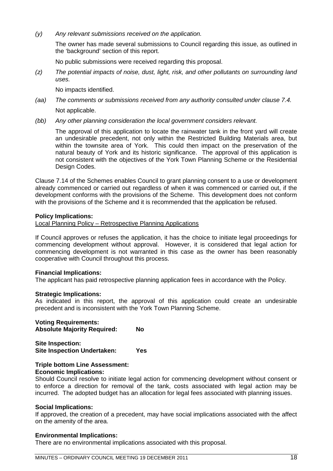*(y) Any relevant submissions received on the application.*

The owner has made several submissions to Council regarding this issue, as outlined in the 'background' section of this report.

No public submissions were received regarding this proposal.

*(z) The potential impacts of noise, dust, light, risk, and other pollutants on surrounding land uses.*

No impacts identified.

*(aa) The comments or submissions received from any authority consulted under clause 7.4.* Not applicable.

*(bb) Any other planning consideration the local government considers relevant.*

The approval of this application to locate the rainwater tank in the front yard will create an undesirable precedent, not only within the Restricted Building Materials area, but within the townsite area of York. This could then impact on the preservation of the natural beauty of York and its historic significance. The approval of this application is not consistent with the objectives of the York Town Planning Scheme or the Residential Design Codes.

Clause 7.14 of the Schemes enables Council to grant planning consent to a use or development already commenced or carried out regardless of when it was commenced or carried out, if the development conforms with the provisions of the Scheme. This development does not conform with the provisions of the Scheme and it is recommended that the application be refused.

#### **Policy Implications:**

Local Planning Policy – Retrospective Planning Applications

If Council approves or refuses the application, it has the choice to initiate legal proceedings for commencing development without approval. However, it is considered that legal action for commencing development is not warranted in this case as the owner has been reasonably cooperative with Council throughout this process.

#### **Financial Implications:**

The applicant has paid retrospective planning application fees in accordance with the Policy.

#### **Strategic Implications:**

As indicated in this report, the approval of this application could create an undesirable precedent and is inconsistent with the York Town Planning Scheme.

**Voting Requirements: Absolute Majority Required: No**

**Site Inspection: Site Inspection Undertaken: Yes**

### **Triple bottom Line Assessment:**

#### **Economic Implications:**

Should Council resolve to initiate legal action for commencing development without consent or to enforce a direction for removal of the tank, costs associated with legal action may be incurred. The adopted budget has an allocation for legal fees associated with planning issues.

#### **Social Implications:**

If approved, the creation of a precedent, may have social implications associated with the affect on the amenity of the area.

#### **Environmental Implications:**

There are no environmental implications associated with this proposal.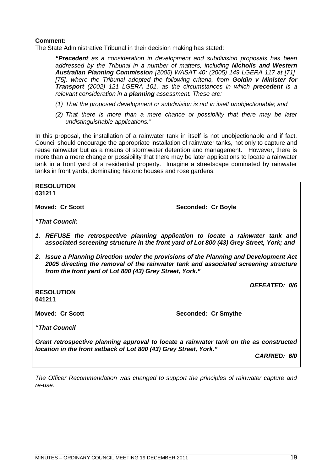#### **Comment:**

The State Administrative Tribunal in their decision making has stated:

*"Precedent as a consideration in development and subdivision proposals has been addressed by the Tribunal in a number of matters, including Nicholls and Western Australian Planning Commission [2005] WASAT 40; (2005) 149 LGERA 117 at [71] [75], where the Tribunal adopted the following criteria, from Goldin v Minister for Transport (2002) 121 LGERA 101, as the circumstances in which precedent is a relevant consideration in a planning assessment. These are:*

- *(1) That the proposed development or subdivision is not in itself unobjectionable; and*
- *(2) That there is more than a mere chance or possibility that there may be later undistinguishable applications."*

In this proposal, the installation of a rainwater tank in itself is not unobjectionable and if fact, Council should encourage the appropriate installation of rainwater tanks, not only to capture and reuse rainwater but as a means of stormwater detention and management. However, there is more than a mere change or possibility that there may be later applications to locate a rainwater tank in a front yard of a residential property. Imagine a streetscape dominated by rainwater tanks in front yards, dominating historic houses and rose gardens.

**RESOLUTION 031211 Moved: Cr Scott** Seconded: Cr Boyle *"That Council: 1. REFUSE the retrospective planning application to locate a rainwater tank and associated screening structure in the front yard of Lot 800 (43) Grey Street, York; and 2. Issue a Planning Direction under the provisions of the Planning and Development Act 2005 directing the removal of the rainwater tank and associated screening structure from the front yard of Lot 800 (43) Grey Street, York." DEFEATED: 0/6* **RESOLUTION 041211 Moved: Cr Scott** Seconded: Cr Smythe *"That Council Grant retrospective planning approval to locate a rainwater tank on the as constructed location in the front setback of Lot 800 (43) Grey Street, York." CARRIED: 6/0*

*The Officer Recommendation was changed to support the principles of rainwater capture and re-use.*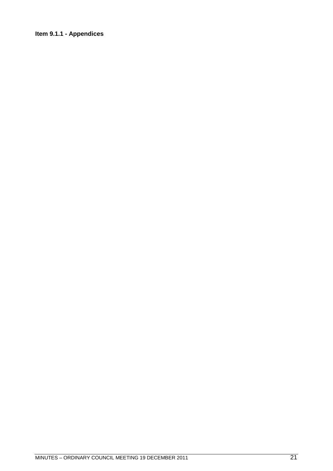### <span id="page-20-0"></span>**Item 9.1.1 - Appendices**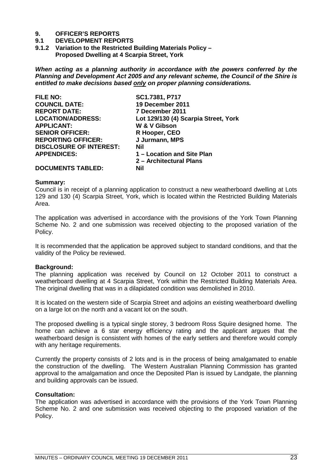# **9. OFFICER'S REPORTS**

#### **9.1 DEVELOPMENT REPORTS**

<span id="page-22-0"></span>**9.1.2 Variation to the Restricted Building Materials Policy – Proposed Dwelling at 4 Scarpia Street, York**

*When acting as a planning authority in accordance with the powers conferred by the Planning and Development Act 2005 and any relevant scheme, the Council of the Shire is entitled to make decisions based only on proper planning considerations.*

| <b>FILE NO:</b>                | SC1.7381, P717                       |
|--------------------------------|--------------------------------------|
| <b>COUNCIL DATE:</b>           | 19 December 2011                     |
| <b>REPORT DATE:</b>            | 7 December 2011                      |
| <b>LOCATION/ADDRESS:</b>       | Lot 129/130 (4) Scarpia Street, York |
| <b>APPLICANT:</b>              | W & V Gibson                         |
| <b>SENIOR OFFICER:</b>         | R Hooper, CEO                        |
| <b>REPORTING OFFICER:</b>      | J Jurmann, MPS                       |
| <b>DISCLOSURE OF INTEREST:</b> | Nil                                  |
| <b>APPENDICES:</b>             | 1 – Location and Site Plan           |
|                                | 2 - Architectural Plans              |
| <b>DOCUMENTS TABLED:</b>       | Nil                                  |

#### **Summary:**

Council is in receipt of a planning application to construct a new weatherboard dwelling at Lots 129 and 130 (4) Scarpia Street, York, which is located within the Restricted Building Materials Area.

The application was advertised in accordance with the provisions of the York Town Planning Scheme No. 2 and one submission was received objecting to the proposed variation of the Policy.

It is recommended that the application be approved subject to standard conditions, and that the validity of the Policy be reviewed.

#### **Background:**

The planning application was received by Council on 12 October 2011 to construct a weatherboard dwelling at 4 Scarpia Street, York within the Restricted Building Materials Area. The original dwelling that was in a dilapidated condition was demolished in 2010.

It is located on the western side of Scarpia Street and adjoins an existing weatherboard dwelling on a large lot on the north and a vacant lot on the south.

The proposed dwelling is a typical single storey, 3 bedroom Ross Squire designed home. The home can achieve a 6 star energy efficiency rating and the applicant argues that the weatherboard design is consistent with homes of the early settlers and therefore would comply with any heritage requirements.

Currently the property consists of 2 lots and is in the process of being amalgamated to enable the construction of the dwelling. The Western Australian Planning Commission has granted approval to the amalgamation and once the Deposited Plan is issued by Landgate, the planning and building approvals can be issued.

#### **Consultation:**

The application was advertised in accordance with the provisions of the York Town Planning Scheme No. 2 and one submission was received objecting to the proposed variation of the Policy.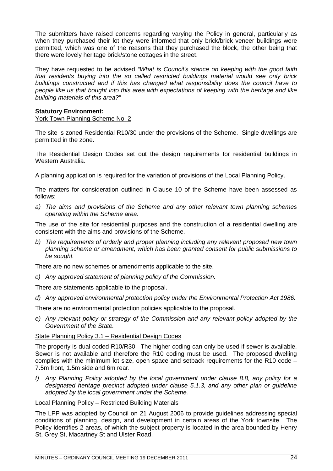The submitters have raised concerns regarding varying the Policy in general, particularly as when they purchased their lot they were informed that only brick/brick veneer buildings were permitted, which was one of the reasons that they purchased the block, the other being that there were lovely heritage brick/stone cottages in the street.

They have requested to be advised *"What is Council's stance on keeping with the good faith that residents buying into the so called restricted buildings material would see only brick buildings constructed and if this has changed what responsibility does the council have to people like us that bought into this area with expectations of keeping with the heritage and like building materials of this area?"*

#### **Statutory Environment:**

York Town Planning Scheme No. 2

The site is zoned Residential R10/30 under the provisions of the Scheme. Single dwellings are permitted in the zone.

The Residential Design Codes set out the design requirements for residential buildings in Western Australia.

A planning application is required for the variation of provisions of the Local Planning Policy.

The matters for consideration outlined in Clause 10 of the Scheme have been assessed as follows:

*a) The aims and provisions of the Scheme and any other relevant town planning schemes operating within the Scheme area.*

The use of the site for residential purposes and the construction of a residential dwelling are consistent with the aims and provisions of the Scheme.

*b) The requirements of orderly and proper planning including any relevant proposed new town planning scheme or amendment, which has been granted consent for public submissions to be sought.*

There are no new schemes or amendments applicable to the site.

*c) Any approved statement of planning policy of the Commission.*

There are statements applicable to the proposal.

*d) Any approved environmental protection policy under the Environmental Protection Act 1986.*

There are no environmental protection policies applicable to the proposal.

*e) Any relevant policy or strategy of the Commission and any relevant policy adopted by the Government of the State.*

#### State Planning Policy 3.1 – Residential Design Codes

The property is dual coded R10/R30. The higher coding can only be used if sewer is available. Sewer is not available and therefore the R10 coding must be used. The proposed dwelling complies with the minimum lot size, open space and setback requirements for the R10 code – 7.5m front, 1.5m side and 6m rear.

*f) Any Planning Policy adopted by the local government under clause 8.8, any policy for a designated heritage precinct adopted under clause 5.1.3, and any other plan or guideline adopted by the local government under the Scheme.*

### Local Planning Policy – Restricted Building Materials

The LPP was adopted by Council on 21 August 2006 to provide guidelines addressing special conditions of planning, design, and development in certain areas of the York townsite. The Policy identifies 2 areas, of which the subject property is located in the area bounded by Henry St, Grey St, Macartney St and Ulster Road.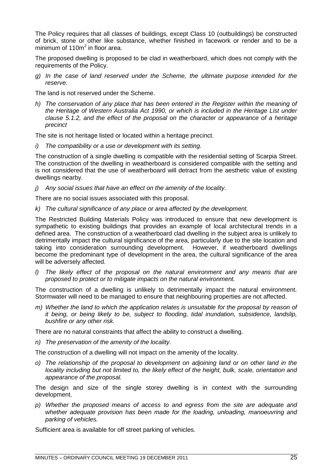The Policy requires that all classes of buildings, except Class 10 (outbuildings) be constructed of brick, stone or other like substance, whether finished in facework or render and to be a minimum of 110m<sup>2</sup> in floor area.

The proposed dwelling is proposed to be clad in weatherboard, which does not comply with the requirements of the Policy.

*g) In the case of land reserved under the Scheme, the ultimate purpose intended for the reserve.*

The land is not reserved under the Scheme.

*h) The conservation of any place that has been entered in the Register within the meaning of the Heritage of Western Australia Act 1990, or which is included in the Heritage List under clause 5.1.2, and the effect of the proposal on the character or appearance of a heritage precinct*

The site is not heritage listed or located within a heritage precinct.

*i) The compatibility or a use or development with its setting.*

The construction of a single dwelling is compatible with the residential setting of Scarpia Street. The construction of the dwelling in weatherboard is considered compatible with the setting and is not considered that the use of weatherboard will detract from the aesthetic value of existing dwellings nearby.

*j) Any social issues that have an effect on the amenity of the locality.*

There are no social issues associated with this proposal.

*k) The cultural significance of any place or area affected by the development.*

The Restricted Building Materials Policy was introduced to ensure that new development is sympathetic to existing buildings that provides an example of local architectural trends in a defined area. The construction of a weatherboard clad dwelling in the subject area is unlikely to detrimentally impact the cultural significance of the area, particularly due to the site location and taking into consideration surrounding development. However, if weatherboard dwellings become the predominant type of development in the area, the cultural significance of the area will be adversely affected.

*l) The likely effect of the proposal on the natural environment and any means that are proposed to protect or to mitigate impacts on the natural environment.*

The construction of a dwelling is unlikely to detrimentally impact the natural environment. Stormwater will need to be managed to ensure that neighbouring properties are not affected.

*m) Whether the land to which the application relates is unsuitable for the proposal by reason of it being, or being likely to be, subject to flooding, tidal inundation, subsidence, landslip, bushfire or any other risk.*

There are no natural constraints that affect the ability to construct a dwelling.

*n) The preservation of the amenity of the locality.*

The construction of a dwelling will not impact on the amenity of the locality.

*o) The relationship of the proposal to development on adjoining land or on other land in the locality including but not limited to, the likely effect of the height, bulk, scale, orientation and appearance of the proposal.*

The design and size of the single storey dwelling is in context with the surrounding development.

*p) Whether the proposed means of access to and egress from the site are adequate and whether adequate provision has been made for the loading, unloading, manoeuvring and parking of vehicles.*

Sufficient area is available for off street parking of vehicles.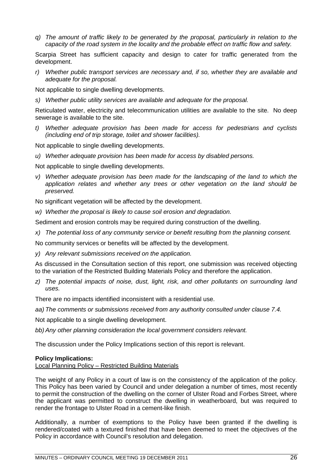*q) The amount of traffic likely to be generated by the proposal, particularly in relation to the capacity of the road system in the locality and the probable effect on traffic flow and safety.*

Scarpia Street has sufficient capacity and design to cater for traffic generated from the development.

*r) Whether public transport services are necessary and, if so, whether they are available and adequate for the proposal.*

Not applicable to single dwelling developments.

*s) Whether public utility services are available and adequate for the proposal.*

Reticulated water, electricity and telecommunication utilities are available to the site. No deep sewerage is available to the site.

*t) Whether adequate provision has been made for access for pedestrians and cyclists (including end of trip storage, toilet and shower facilities).*

Not applicable to single dwelling developments.

*u) Whether adequate provision has been made for access by disabled persons.*

Not applicable to single dwelling developments.

*v) Whether adequate provision has been made for the landscaping of the land to which the application relates and whether any trees or other vegetation on the land should be preserved.*

No significant vegetation will be affected by the development.

*w) Whether the proposal is likely to cause soil erosion and degradation.*

Sediment and erosion controls may be required during construction of the dwelling.

*x) The potential loss of any community service or benefit resulting from the planning consent.*

No community services or benefits will be affected by the development.

*y) Any relevant submissions received on the application.*

As discussed in the Consultation section of this report, one submission was received objecting to the variation of the Restricted Building Materials Policy and therefore the application.

*z) The potential impacts of noise, dust, light, risk, and other pollutants on surrounding land uses.*

There are no impacts identified inconsistent with a residential use.

*aa) The comments or submissions received from any authority consulted under clause 7.4.*

Not applicable to a single dwelling development.

*bb) Any other planning consideration the local government considers relevant.*

The discussion under the Policy Implications section of this report is relevant.

#### **Policy Implications:**

Local Planning Policy – Restricted Building Materials

The weight of any Policy in a court of law is on the consistency of the application of the policy. This Policy has been varied by Council and under delegation a number of times, most recently to permit the construction of the dwelling on the corner of Ulster Road and Forbes Street, where the applicant was permitted to construct the dwelling in weatherboard, but was required to render the frontage to Ulster Road in a cement-like finish.

Additionally, a number of exemptions to the Policy have been granted if the dwelling is rendered/coated with a textured finished that have been deemed to meet the objectives of the Policy in accordance with Council's resolution and delegation.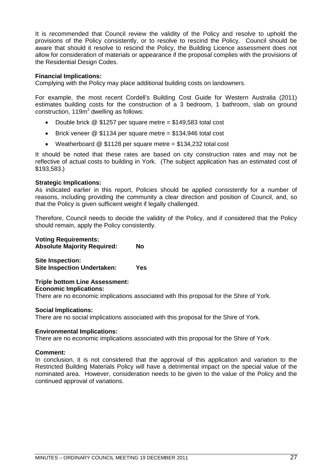It is recommended that Council review the validity of the Policy and resolve to uphold the provisions of the Policy consistently, or to resolve to rescind the Policy. Council should be aware that should it resolve to rescind the Policy, the Building Licence assessment does not allow for consideration of materials or appearance if the proposal complies with the provisions of the Residential Design Codes.

#### **Financial Implications:**

Complying with the Policy may place additional building costs on landowners.

For example, the most recent Cordell's Building Cost Guide for Western Australia (2011) estimates building costs for the construction of a 3 bedroom, 1 bathroom, slab on ground construction, 119 $\overline{m}^2$  dwelling as follows:

- Double brick @ \$1257 per square metre = \$149,583 total cost
- **Brick veneer @ \$1134 per square metre = \$134,946 total cost**
- Weatherboard @ \$1128 per square metre = \$134,232 total cost

It should be noted that these rates are based on city construction rates and may not be reflective of actual costs to building in York. (The subject application has an estimated cost of \$193,583.)

#### **Strategic Implications:**

As indicated earlier in this report, Policies should be applied consistently for a number of reasons, including providing the community a clear direction and position of Council, and, so that the Policy is given sufficient weight if legally challenged.

Therefore, Council needs to decide the validity of the Policy, and if considered that the Policy should remain, apply the Policy consistently.

**Voting Requirements: Absolute Majority Required: No Site Inspection: Site Inspection Undertaken: Yes**

**Triple bottom Line Assessment: Economic Implications:**

There are no economic implications associated with this proposal for the Shire of York.

#### **Social Implications:**

There are no social implications associated with this proposal for the Shire of York.

#### **Environmental Implications:**

There are no economic implications associated with this proposal for the Shire of York.

#### **Comment:**

In conclusion, it is not considered that the approval of this application and variation to the Restricted Building Materials Policy will have a detrimental impact on the special value of the nominated area. However, consideration needs to be given to the value of the Policy and the continued approval of variations.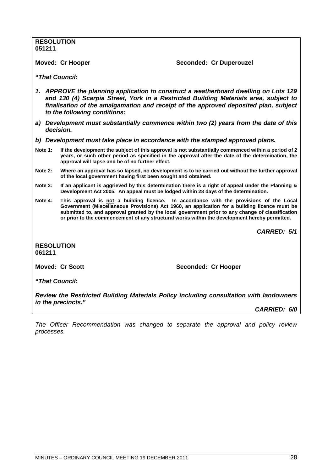*"That Council:*

**RESOLUTION**

**051211**

- *1. APPROVE the planning application to construct a weatherboard dwelling on Lots 129 and 130 (4) Scarpia Street, York in a Restricted Building Materials area, subject to finalisation of the amalgamation and receipt of the approved deposited plan, subject to the following conditions:*
- *a) Development must substantially commence within two (2) years from the date of this decision.*
- *b) Development must take place in accordance with the stamped approved plans.*

**Moved: Cr Hooper Seconded: Cr Duperouzel** 

- **Note 1: If the development the subject of this approval is not substantially commenced within a period of 2 years, or such other period as specified in the approval after the date of the determination, the approval will lapse and be of no further effect.**
- **Note 2: Where an approval has so lapsed, no development is to be carried out without the further approval of the local government having first been sought and obtained.**
- **Note 3: If an applicant is aggrieved by this determination there is a right of appeal under the Planning & Development Act 2005. An appeal must be lodged within 28 days of the determination.**
- **Note 4: This approval is not a building licence. In accordance with the provisions of the Local Government (Miscellaneous Provisions) Act 1960, an application for a building licence must be submitted to, and approval granted by the local government prior to any change of classification or prior to the commencement of any structural works within the development hereby permitted.**

*CARRED: 5/1*

**RESOLUTION 061211**

**Moved: Cr Scott** Seconded: Cr Hooper

*"That Council:*

*Review the Restricted Building Materials Policy including consultation with landowners in the precincts."*

*CARRIED: 6/0*

*The Officer Recommendation was changed to separate the approval and policy review processes.*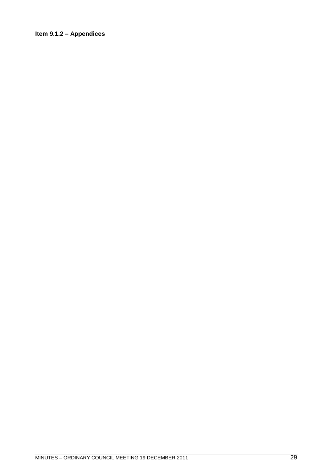### <span id="page-28-0"></span>**Item 9.1.2 – Appendices**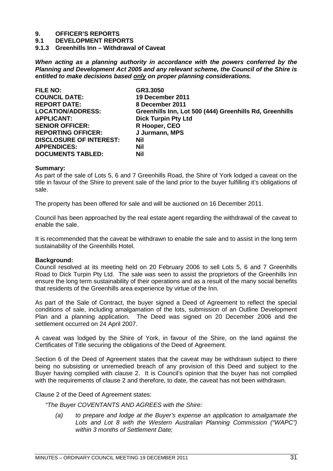# **9. OFFICER'S REPORTS**

**9.1 DEVELOPMENT REPORTS**

<span id="page-30-0"></span>**9.1.3 Greenhills Inn – Withdrawal of Caveat**

*When acting as a planning authority in accordance with the powers conferred by the Planning and Development Act 2005 and any relevant scheme, the Council of the Shire is entitled to make decisions based only on proper planning considerations.*

| <b>FILE NO:</b>                | GR3.3050                                                |
|--------------------------------|---------------------------------------------------------|
| <b>COUNCIL DATE:</b>           | 19 December 2011                                        |
| <b>REPORT DATE:</b>            | 8 December 2011                                         |
| <b>LOCATION/ADDRESS:</b>       | Greenhills Inn, Lot 500 (444) Greenhills Rd, Greenhills |
| <b>APPLICANT:</b>              | <b>Dick Turpin Pty Ltd</b>                              |
| <b>SENIOR OFFICER:</b>         | R Hooper, CEO                                           |
| <b>REPORTING OFFICER:</b>      | J Jurmann, MPS                                          |
| <b>DISCLOSURE OF INTEREST:</b> | Nil                                                     |
| <b>APPENDICES:</b>             | Nil                                                     |
| <b>DOCUMENTS TABLED:</b>       | Nil                                                     |

#### **Summary:**

As part of the sale of Lots 5, 6 and 7 Greenhills Road, the Shire of York lodged a caveat on the title in favour of the Shire to prevent sale of the land prior to the buyer fulfilling it's obligations of sale.

The property has been offered for sale and will be auctioned on 16 December 2011.

Council has been approached by the real estate agent regarding the withdrawal of the caveat to enable the sale.

It is recommended that the caveat be withdrawn to enable the sale and to assist in the long term sustainability of the Greenhills Hotel.

#### **Background:**

Council resolved at its meeting held on 20 February 2006 to sell Lots 5, 6 and 7 Greenhills Road to Dick Turpin Pty Ltd. The sale was seen to assist the proprietors of the Greenhills Inn ensure the long term sustainability of their operations and as a result of the many social benefits that residents of the Greenhills area experience by virtue of the Inn.

As part of the Sale of Contract, the buyer signed a Deed of Agreement to reflect the special conditions of sale, including amalgamation of the lots, submission of an Outline Development Plan and a planning application. The Deed was signed on 20 December 2006 and the settlement occurred on 24 April 2007.

A caveat was lodged by the Shire of York, in favour of the Shire, on the land against the Certificates of Title securing the obligations of the Deed of Agreement.

Section 6 of the Deed of Agreement states that the caveat may be withdrawn subject to there being no subsisting or unremedied breach of any provision of this Deed and subject to the Buyer having complied with clause 2. It is Council's opinion that the buyer has not complied with the requirements of clause 2 and therefore, to date, the caveat has not been withdrawn.

Clause 2 of the Deed of Agreement states:

*"The Buyer COVENTANTS AND AGREES with the Shire:*

*(a) to prepare and lodge at the Buyer's expense an application to amalgamate the Lots and Lot 8 with the Western Australian Planning Commission ("WAPC") within 3 months of Settlement Date;*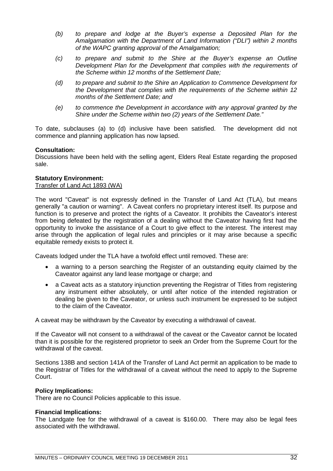- *(b) to prepare and lodge at the Buyer's expense a Deposited Plan for the Amalgamation with the Department of Land Information ("DLI") within 2 months of the WAPC granting approval of the Amalgamation;*
- *(c) to prepare and submit to the Shire at the Buyer's expense an Outline Development Plan for the Development that complies with the requirements of the Scheme within 12 months of the Settlement Date;*
- *(d) to prepare and submit to the Shire an Application to Commence Development for the Development that complies with the requirements of the Scheme within 12 months of the Settlement Date; and*
- *(e) to commence the Development in accordance with any approval granted by the Shire under the Scheme within two (2) years of the Settlement Date."*

To date, subclauses (a) to (d) inclusive have been satisfied. The development did not commence and planning application has now lapsed.

#### **Consultation:**

Discussions have been held with the selling agent, Elders Real Estate regarding the proposed sale.

#### **Statutory Environment:**

#### Transfer of Land Act 1893 (WA)

The word "Caveat" is not expressly defined in the Transfer of Land Act (TLA), but means generally "a caution or warning". A Caveat confers no proprietary interest itself. Its purpose and function is to preserve and protect the rights of a Caveator. It prohibits the Caveator's interest from being defeated by the registration of a dealing without the Caveator having first had the opportunity to invoke the assistance of a Court to give effect to the interest. The interest may arise through the application of legal rules and principles or it may arise because a specific equitable remedy exists to protect it.

Caveats lodged under the TLA have a twofold effect until removed. These are:

- a warning to a person searching the Register of an outstanding equity claimed by the Caveator against any land lease mortgage or charge; and
- a Caveat acts as a statutory injunction preventing the Registrar of Titles from registering any instrument either absolutely, or until after notice of the intended registration or dealing be given to the Caveator, or unless such instrument be expressed to be subject to the claim of the Caveator.

A caveat may be withdrawn by the Caveator by executing a withdrawal of caveat.

If the Caveator will not consent to a withdrawal of the caveat or the Caveator cannot be located than it is possible for the registered proprietor to seek an Order from the Supreme Court for the withdrawal of the caveat.

Sections 138B and section 141A of the Transfer of Land Act permit an application to be made to the Registrar of Titles for the withdrawal of a caveat without the need to apply to the Supreme Court.

#### **Policy Implications:**

There are no Council Policies applicable to this issue.

#### **Financial Implications:**

The Landgate fee for the withdrawal of a caveat is \$160.00. There may also be legal fees associated with the withdrawal.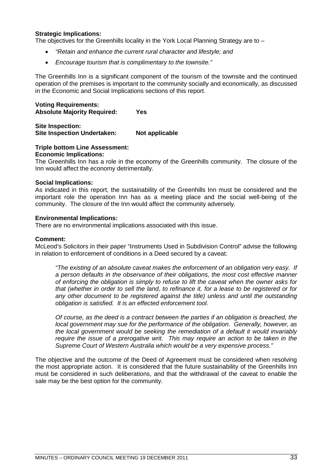#### **Strategic Implications:**

The objectives for the Greenhills locality in the York Local Planning Strategy are to  $-$ 

- *"Retain and enhance the current rural character and lifestyle; and*
- *Encourage tourism that is complimentary to the townsite."*

The Greenhills Inn is a significant component of the tourism of the townsite and the continued operation of the premises is important to the community socially and economically, as discussed in the Economic and Social Implications sections of this report.

#### **Voting Requirements: Absolute Majority Required: Yes**

**Site Inspection: Site Inspection Undertaken: Not applicable**

### **Triple bottom Line Assessment:**

#### **Economic Implications:**

The Greenhills Inn has a role in the economy of the Greenhills community. The closure of the Inn would affect the economy detrimentally.

#### **Social Implications:**

As indicated in this report, the sustainability of the Greenhills Inn must be considered and the important role the operation Inn has as a meeting place and the social well-being of the community. The closure of the Inn would affect the community adversely.

#### **Environmental Implications:**

There are no environmental implications associated with this issue.

#### **Comment:**

McLeod's Solicitors in their paper "Instruments Used in Subdivision Control" advise the following in relation to enforcement of conditions in a Deed secured by a caveat:

*"The existing of an absolute caveat makes the enforcement of an obligation very easy. If a person defaults in the observance of their obligations, the most cost effective manner of enforcing the obligation is simply to refuse to lift the caveat when the owner asks for that (whether in order to sell the land, to refinance it, for a lease to be registered or for any other document to be registered against the title) unless and until the outstanding obligation is satisfied. It is an effected enforcement tool.*

*Of course, as the deed is a contract between the parties if an obligation is breached, the local government may sue for the performance of the obligation. Generally, however, as the local government would be seeking the remediation of a default it would invariably require the issue of a prerogative writ. This may require an action to be taken in the Supreme Court of Western Australia which would be a very expensive process."*

The objective and the outcome of the Deed of Agreement must be considered when resolving the most appropriate action. It is considered that the future sustainability of the Greenhills Inn must be considered in such deliberations, and that the withdrawal of the caveat to enable the sale may be the best option for the community.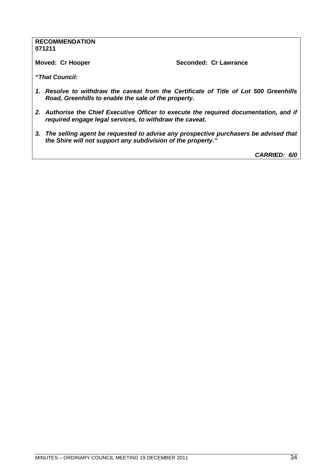#### **RECOMMENDATION 071211**

**Moved: Cr Hooper Seconded: Cr Lawrance** 

*"That Council:*

- *1. Resolve to withdraw the caveat from the Certificate of Title of Lot 500 Greenhills Road, Greenhills to enable the sale of the property.*
- *2. Authorise the Chief Executive Officer to execute the required documentation, and if required engage legal services, to withdraw the caveat.*
- *3. The selling agent be requested to advise any prospective purchasers be advised that the Shire will not support any subdivision of the property."*

*CARRIED: 6/0*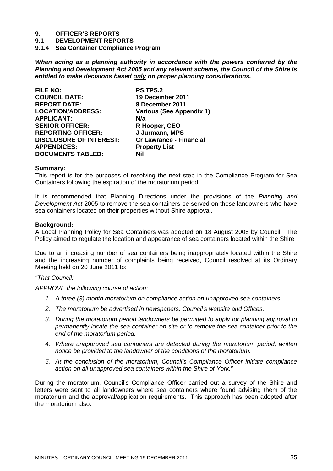# **9. OFFICER'S REPORTS**

- **9.1 DEVELOPMENT REPORTS**
- <span id="page-34-0"></span>**9.1.4 Sea Container Compliance Program**

*When acting as a planning authority in accordance with the powers conferred by the Planning and Development Act 2005 and any relevant scheme, the Council of the Shire is entitled to make decisions based only on proper planning considerations.*

| <b>FILE NO:</b>                | <b>PS.TPS.2</b>                 |
|--------------------------------|---------------------------------|
| <b>COUNCIL DATE:</b>           | 19 December 2011                |
| <b>REPORT DATE:</b>            | 8 December 2011                 |
| <b>LOCATION/ADDRESS:</b>       | <b>Various (See Appendix 1)</b> |
| <b>APPLICANT:</b>              | N/a                             |
| <b>SENIOR OFFICER:</b>         | R Hooper, CEO                   |
| <b>REPORTING OFFICER:</b>      | J Jurmann, MPS                  |
| <b>DISCLOSURE OF INTEREST:</b> | <b>Cr Lawrance - Financial</b>  |
| <b>APPENDICES:</b>             | <b>Property List</b>            |
| <b>DOCUMENTS TABLED:</b>       | Nil                             |

#### **Summary:**

This report is for the purposes of resolving the next step in the Compliance Program for Sea Containers following the expiration of the moratorium period.

It is recommended that Planning Directions under the provisions of the *Planning and Development Act* 2005 to remove the sea containers be served on those landowners who have sea containers located on their properties without Shire approval.

#### **Background:**

A Local Planning Policy for Sea Containers was adopted on 18 August 2008 by Council. The Policy aimed to regulate the location and appearance of sea containers located within the Shire.

Due to an increasing number of sea containers being inappropriately located within the Shire and the increasing number of complaints being received, Council resolved at its Ordinary Meeting held on 20 June 2011 to:

*"That Council:*

*APPROVE the following course of action:*

- *1. A three (3) month moratorium on compliance action on unapproved sea containers.*
- *2. The moratorium be advertised in newspapers, Council's website and Offices.*
- *3. During the moratorium period landowners be permitted to apply for planning approval to permanently locate the sea container on site or to remove the sea container prior to the end of the moratorium period.*
- *4. Where unapproved sea containers are detected during the moratorium period, written notice be provided to the landowner of the conditions of the moratorium.*
- *5. At the conclusion of the moratorium, Council's Compliance Officer initiate compliance action on all unapproved sea containers within the Shire of York."*

During the moratorium, Council's Compliance Officer carried out a survey of the Shire and letters were sent to all landowners where sea containers where found advising them of the moratorium and the approval/application requirements. This approach has been adopted after the moratorium also.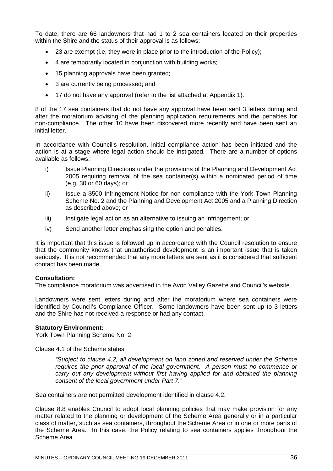To date, there are 66 landowners that had 1 to 2 sea containers located on their properties within the Shire and the status of their approval is as follows:

- 23 are exempt (i.e. they were in place prior to the introduction of the Policy);
- 4 are temporarily located in conjunction with building works;
- 15 planning approvals have been granted;
- 3 are currently being processed; and
- 17 do not have any approval (refer to the list attached at Appendix 1).

8 of the 17 sea containers that do not have any approval have been sent 3 letters during and after the moratorium advising of the planning application requirements and the penalties for non-compliance. The other 10 have been discovered more recently and have been sent an initial letter.

In accordance with Council's resolution, initial compliance action has been initiated and the action is at a stage where legal action should be instigated. There are a number of options available as follows:

- i) Issue Planning Directions under the provisions of the Planning and Development Act 2005 requiring removal of the sea container(s) within a nominated period of time (e.g. 30 or 60 days); or
- ii) Issue a \$500 Infringement Notice for non-compliance with the York Town Planning Scheme No. 2 and the Planning and Development Act 2005 and a Planning Direction as described above; or
- iii) Instigate legal action as an alternative to issuing an infringement; or
- iv) Send another letter emphasising the option and penalties.

It is important that this issue is followed up in accordance with the Council resolution to ensure that the community knows that unauthorised development is an important issue that is taken seriously. It is not recommended that any more letters are sent as it is considered that sufficient contact has been made.

#### **Consultation:**

The compliance moratorium was advertised in the Avon Valley Gazette and Council's website.

Landowners were sent letters during and after the moratorium where sea containers were identified by Council's Compliance Officer. Some landowners have been sent up to 3 letters and the Shire has not received a response or had any contact.

#### **Statutory Environment:**

York Town Planning Scheme No. 2

Clause 4.1 of the Scheme states:

*"Subject to clause 4.2, all development on land zoned and reserved under the Scheme requires the prior approval of the local government. A person must no commence or carry out any development without first having applied for and obtained the planning consent of the local government under Part 7."*

Sea containers are not permitted development identified in clause 4.2.

Clause 8.8 enables Council to adopt local planning policies that may make provision for any matter related to the planning or development of the Scheme Area generally or in a particular class of matter, such as sea containers, throughout the Scheme Area or in one or more parts of the Scheme Area. In this case, the Policy relating to sea containers applies throughout the Scheme Area.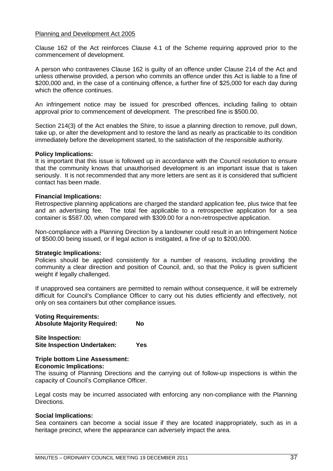### Planning and Development Act 2005

Clause 162 of the Act reinforces Clause 4.1 of the Scheme requiring approved prior to the commencement of development.

A person who contravenes Clause 162 is guilty of an offence under Clause 214 of the Act and unless otherwise provided, a person who commits an offence under this Act is liable to a fine of \$200,000 and, in the case of a continuing offence, a further fine of \$25,000 for each day during which the offence continues.

An infringement notice may be issued for prescribed offences, including failing to obtain approval prior to commencement of development. The prescribed fine is \$500.00.

Section 214(3) of the Act enables the Shire, to issue a planning direction to remove, pull down, take up, or alter the development and to restore the land as nearly as practicable to its condition immediately before the development started, to the satisfaction of the responsible authority.

### **Policy Implications:**

It is important that this issue is followed up in accordance with the Council resolution to ensure that the community knows that unauthorised development is an important issue that is taken seriously. It is not recommended that any more letters are sent as it is considered that sufficient contact has been made.

### **Financial Implications:**

Retrospective planning applications are charged the standard application fee, plus twice that fee and an advertising fee. The total fee applicable to a retrospective application for a sea container is \$587.00, when compared with \$309.00 for a non-retrospective application.

Non-compliance with a Planning Direction by a landowner could result in an Infringement Notice of \$500.00 being issued, or if legal action is instigated, a fine of up to \$200,000.

### **Strategic Implications:**

Policies should be applied consistently for a number of reasons, including providing the community a clear direction and position of Council, and, so that the Policy is given sufficient weight if legally challenged.

If unapproved sea containers are permitted to remain without consequence, it will be extremely difficult for Council's Compliance Officer to carry out his duties efficiently and effectively, not only on sea containers but other compliance issues.

### **Voting Requirements: Absolute Majority Required: No**

**Site Inspection: Site Inspection Undertaken: Yes**

### **Triple bottom Line Assessment: Economic Implications:**

The issuing of Planning Directions and the carrying out of follow-up inspections is within the capacity of Council's Compliance Officer.

Legal costs may be incurred associated with enforcing any non-compliance with the Planning Directions.

### **Social Implications:**

Sea containers can become a social issue if they are located inappropriately, such as in a heritage precinct, where the appearance can adversely impact the area.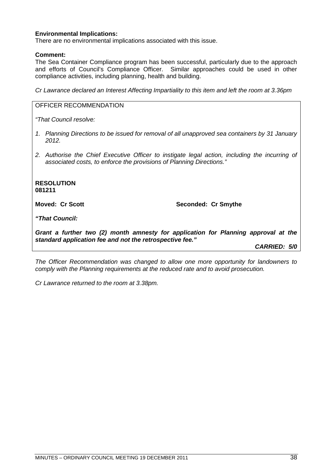### **Environmental Implications:**

There are no environmental implications associated with this issue.

### **Comment:**

The Sea Container Compliance program has been successful, particularly due to the approach and efforts of Council's Compliance Officer. Similar approaches could be used in other compliance activities, including planning, health and building.

*Cr Lawrance declared an Interest Affecting Impartiality to this item and left the room at 3.36pm*

### OFFICER RECOMMENDATION

*"That Council resolve:*

- *1. Planning Directions to be issued for removal of all unapproved sea containers by 31 January 2012.*
- *2. Authorise the Chief Executive Officer to instigate legal action, including the incurring of associated costs, to enforce the provisions of Planning Directions."*

**RESOLUTION 081211**

**Moved: Cr Scott** Seconded: Cr Smythe

*"That Council:*

*Grant a further two (2) month amnesty for application for Planning approval at the standard application fee and not the retrospective fee."*

*CARRIED: 5/0*

*The Officer Recommendation was changed to allow one more opportunity for landowners to comply with the Planning requirements at the reduced rate and to avoid prosecution.*

*Cr Lawrance returned to the room at 3.38pm.*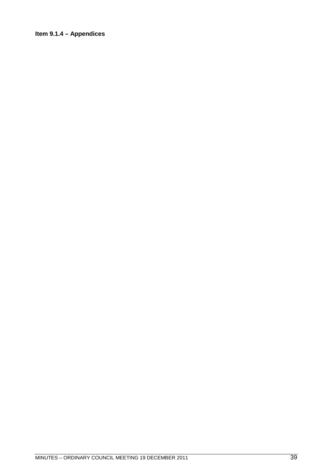### Item 9.1.4 - Appendices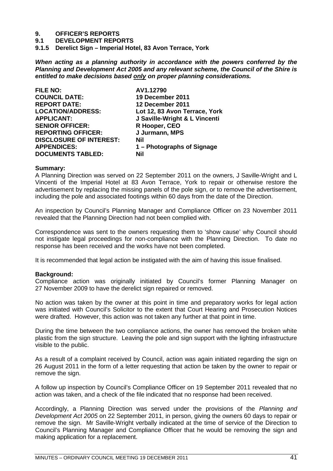**9.1 DEVELOPMENT REPORTS**

**9.1.5 Derelict Sign – Imperial Hotel, 83 Avon Terrace, York**

*When acting as a planning authority in accordance with the powers conferred by the Planning and Development Act 2005 and any relevant scheme, the Council of the Shire is entitled to make decisions based only on proper planning considerations.*

| <b>FILE NO:</b>                | AV1.12790                     |
|--------------------------------|-------------------------------|
| <b>COUNCIL DATE:</b>           | 19 December 2011              |
| <b>REPORT DATE:</b>            | 12 December 2011              |
| <b>LOCATION/ADDRESS:</b>       | Lot 12, 83 Avon Terrace, York |
| <b>APPLICANT:</b>              | J Saville-Wright & L Vincenti |
| <b>SENIOR OFFICER:</b>         | R Hooper, CEO                 |
| <b>REPORTING OFFICER:</b>      | J Jurmann, MPS                |
| <b>DISCLOSURE OF INTEREST:</b> | Nil                           |
| <b>APPENDICES:</b>             | 1 – Photographs of Signage    |
| <b>DOCUMENTS TABLED:</b>       | Nil                           |

### **Summary:**

A Planning Direction was served on 22 September 2011 on the owners, J Saville-Wright and L Vincenti of the Imperial Hotel at 83 Avon Terrace, York to repair or otherwise restore the advertisement by replacing the missing panels of the pole sign, or to remove the advertisement, including the pole and associated footings within 60 days from the date of the Direction.

An inspection by Council's Planning Manager and Compliance Officer on 23 November 2011 revealed that the Planning Direction had not been complied with.

Correspondence was sent to the owners requesting them to 'show cause' why Council should not instigate legal proceedings for non-compliance with the Planning Direction. To date no response has been received and the works have not been completed.

It is recommended that legal action be instigated with the aim of having this issue finalised.

### **Background:**

Compliance action was originally initiated by Council's former Planning Manager on 27 November 2009 to have the derelict sign repaired or removed.

No action was taken by the owner at this point in time and preparatory works for legal action was initiated with Council's Solicitor to the extent that Court Hearing and Prosecution Notices were drafted. However, this action was not taken any further at that point in time.

During the time between the two compliance actions, the owner has removed the broken white plastic from the sign structure. Leaving the pole and sign support with the lighting infrastructure visible to the public.

As a result of a complaint received by Council, action was again initiated regarding the sign on 26 August 2011 in the form of a letter requesting that action be taken by the owner to repair or remove the sign.

A follow up inspection by Council's Compliance Officer on 19 September 2011 revealed that no action was taken, and a check of the file indicated that no response had been received.

Accordingly, a Planning Direction was served under the provisions of the *Planning and Development Act 2005* on 22 September 2011, in person, giving the owners 60 days to repair or remove the sign. Mr Saville-Wright verbally indicated at the time of service of the Direction to Council's Planning Manager and Compliance Officer that he would be removing the sign and making application for a replacement.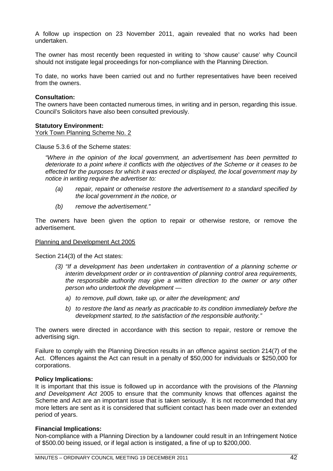A follow up inspection on 23 November 2011, again revealed that no works had been undertaken.

The owner has most recently been requested in writing to 'show cause' cause' why Council should not instigate legal proceedings for non-compliance with the Planning Direction.

To date, no works have been carried out and no further representatives have been received from the owners.

### **Consultation:**

The owners have been contacted numerous times, in writing and in person, regarding this issue. Council's Solicitors have also been consulted previously.

### **Statutory Environment:**

York Town Planning Scheme No. 2

Clause 5.3.6 of the Scheme states:

*"Where in the opinion of the local government, an advertisement has been permitted to deteriorate to a point where it conflicts with the objectives of the Scheme or it ceases to be effected for the purposes for which it was erected or displayed, the local government may by notice in writing require the advertiser to:*

- *(a) repair, repaint or otherwise restore the advertisement to a standard specified by the local government in the notice, or*
- *(b) remove the advertisement."*

The owners have been given the option to repair or otherwise restore, or remove the advertisement.

### Planning and Development Act 2005

Section 214(3) of the Act states:

- *(3) "If a development has been undertaken in contravention of a planning scheme or interim development order or in contravention of planning control area requirements, the responsible authority may give a written direction to the owner or any other person who undertook the development* 
	- *a) to remove, pull down, take up, or alter the development; and*
	- *b) to restore the land as nearly as practicable to its condition immediately before the development started, to the satisfaction of the responsible authority."*

The owners were directed in accordance with this section to repair, restore or remove the advertising sign.

Failure to comply with the Planning Direction results in an offence against section 214(7) of the Act. Offences against the Act can result in a penalty of \$50,000 for individuals or \$250,000 for corporations.

### **Policy Implications:**

It is important that this issue is followed up in accordance with the provisions of the *Planning and Development Act* 2005 to ensure that the community knows that offences against the Scheme and Act are an important issue that is taken seriously. It is not recommended that any more letters are sent as it is considered that sufficient contact has been made over an extended period of years.

### **Financial Implications:**

Non-compliance with a Planning Direction by a landowner could result in an Infringement Notice of \$500.00 being issued, or if legal action is instigated, a fine of up to \$200,000.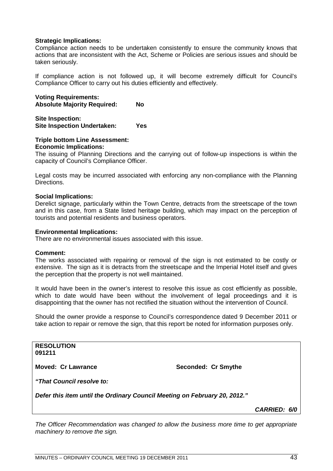### **Strategic Implications:**

Compliance action needs to be undertaken consistently to ensure the community knows that actions that are inconsistent with the Act, Scheme or Policies are serious issues and should be taken seriously.

If compliance action is not followed up, it will become extremely difficult for Council's Compliance Officer to carry out his duties efficiently and effectively.

**Voting Requirements: Absolute Majority Required: No**

**Site Inspection: Site Inspection Undertaken: Yes**

### **Triple bottom Line Assessment: Economic Implications:**

The issuing of Planning Directions and the carrying out of follow-up inspections is within the capacity of Council's Compliance Officer.

Legal costs may be incurred associated with enforcing any non-compliance with the Planning Directions.

### **Social Implications:**

Derelict signage, particularly within the Town Centre, detracts from the streetscape of the town and in this case, from a State listed heritage building, which may impact on the perception of tourists and potential residents and business operators.

### **Environmental Implications:**

There are no environmental issues associated with this issue.

#### **Comment:**

The works associated with repairing or removal of the sign is not estimated to be costly or extensive. The sign as it is detracts from the streetscape and the Imperial Hotel itself and gives the perception that the property is not well maintained.

It would have been in the owner's interest to resolve this issue as cost efficiently as possible, which to date would have been without the involvement of legal proceedings and it is disappointing that the owner has not rectified the situation without the intervention of Council.

Should the owner provide a response to Council's correspondence dated 9 December 2011 or take action to repair or remove the sign, that this report be noted for information purposes only.

**RESOLUTION 091211**

**Moved: Cr Lawrance Seconded: Cr Smythe** 

*"That Council resolve to:*

*Defer this item until the Ordinary Council Meeting on February 20, 2012."*

*CARRIED: 6/0*

*The Officer Recommendation was changed to allow the business more time to get appropriate machinery to remove the sign.*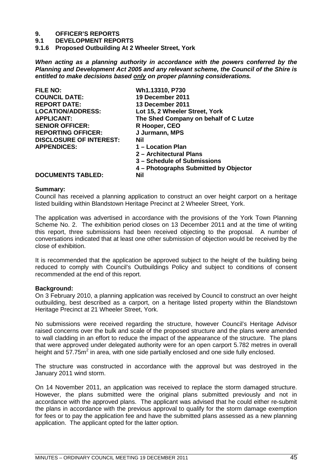**9.1 DEVELOPMENT REPORTS**

**9.1.6 Proposed Outbuilding At 2 Wheeler Street, York**

*When acting as a planning authority in accordance with the powers conferred by the Planning and Development Act 2005 and any relevant scheme, the Council of the Shire is entitled to make decisions based only on proper planning considerations.*

| <b>FILE NO:</b>                | Wh1.13310, P730                       |
|--------------------------------|---------------------------------------|
| <b>COUNCIL DATE:</b>           | 19 December 2011                      |
| <b>REPORT DATE:</b>            | 13 December 2011                      |
| <b>LOCATION/ADDRESS:</b>       | Lot 15, 2 Wheeler Street, York        |
| <b>APPLICANT:</b>              | The Shed Company on behalf of C Lutze |
| <b>SENIOR OFFICER:</b>         | R Hooper, CEO                         |
| <b>REPORTING OFFICER:</b>      | J Jurmann, MPS                        |
| <b>DISCLOSURE OF INTEREST:</b> | Nil                                   |
| <b>APPENDICES:</b>             | 1 – Location Plan                     |
|                                | 2 – Architectural Plans               |
|                                | 3 – Schedule of Submissions           |
|                                | 4 – Photographs Submitted by Objector |
| <b>DOCUMENTS TABLED:</b>       | Nil                                   |

### **Summary:**

Council has received a planning application to construct an over height carport on a heritage listed building within Blandstown Heritage Precinct at 2 Wheeler Street, York.

The application was advertised in accordance with the provisions of the York Town Planning Scheme No. 2. The exhibition period closes on 13 December 2011 and at the time of writing this report, three submissions had been received objecting to the proposal. A number of conversations indicated that at least one other submission of objection would be received by the close of exhibition.

It is recommended that the application be approved subject to the height of the building being reduced to comply with Council's Outbuildings Policy and subject to conditions of consent recommended at the end of this report.

### **Background:**

On 3 February 2010, a planning application was received by Council to construct an over height outbuilding, best described as a carport, on a heritage listed property within the Blandstown Heritage Precinct at 21 Wheeler Street, York.

No submissions were received regarding the structure, however Council's Heritage Advisor raised concerns over the bulk and scale of the proposed structure and the plans were amended to wall cladding in an effort to reduce the impact of the appearance of the structure. The plans that were approved under delegated authority were for an open carport 5.782 metres in overall height and 57.75 $m^2$  in area, with one side partially enclosed and one side fully enclosed.

The structure was constructed in accordance with the approval but was destroyed in the January 2011 wind storm.

On 14 November 2011, an application was received to replace the storm damaged structure. However, the plans submitted were the original plans submitted previously and not in accordance with the approved plans. The applicant was advised that he could either re-submit the plans in accordance with the previous approval to qualify for the storm damage exemption for fees or to pay the application fee and have the submitted plans assessed as a new planning application. The applicant opted for the latter option.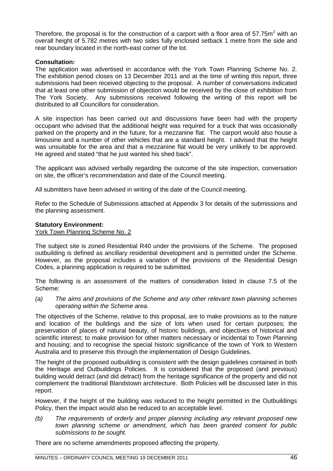Therefore, the proposal is for the construction of a carport with a floor area of 57.75 $m^2$  with an overall height of 5.782 metres with two sides fully enclosed setback 1 metre from the side and rear boundary located in the north-east corner of the lot.

### **Consultation:**

The application was advertised in accordance with the York Town Planning Scheme No. 2. The exhibition period closes on 13 December 2011 and at the time of writing this report, three submissions had been received objecting to the proposal. A number of conversations indicated that at least one other submission of objection would be received by the close of exhibition from The York Society. Any submissions received following the writing of this report will be distributed to all Councillors for consideration.

A site inspection has been carried out and discussions have been had with the property occupant who advised that the additional height was required for a truck that was occasionally parked on the property and in the future, for a mezzanine flat. The carport would also house a limousine and a number of other vehicles that are a standard height. I advised that the height was unsuitable for the area and that a mezzanine flat would be very unlikely to be approved. He agreed and stated "that he just wanted his shed back".

The applicant was advised verbally regarding the outcome of the site inspection, conversation on site, the officer's recommendation and date of the Council meeting.

All submitters have been advised in writing of the date of the Council meeting.

Refer to the Schedule of Submissions attached at Appendix 3 for details of the submissions and the planning assessment.

### **Statutory Environment:**

York Town Planning Scheme No. 2

The subject site is zoned Residential R40 under the provisions of the Scheme. The proposed outbuilding is defined as ancillary residential development and is permitted under the Scheme. However, as the proposal includes a variation of the provisions of the Residential Design Codes, a planning application is required to be submitted.

The following is an assessment of the matters of consideration listed in clause 7.5 of the Scheme:

*(a) The aims and provisions of the Scheme and any other relevant town planning schemes operating within the Scheme area.*

The objectives of the Scheme, relative to this proposal, are to make provisions as to the nature and location of the buildings and the size of lots when used for certain purposes; the preservation of places of natural beauty, of historic buildings, and objectives of historical and scientific interest; to make provision for other matters necessary or incidental to Town Planning and housing; and to recognise the special historic significance of the town of York to Western Australia and to preserve this through the implementation of Design Guidelines.

The height of the proposed outbuilding is consistent with the design guidelines contained in both the Heritage and Outbuildings Policies. It is considered that the proposed (and previous) building would detract (and did detract) from the heritage significance of the property and did not complement the traditional Blandstown architecture. Both Policies will be discussed later in this report.

However, if the height of the building was reduced to the height permitted in the Outbuildings Policy, then the impact would also be reduced to an acceptable level.

*(b) The requirements of orderly and proper planning including any relevant proposed new town planning scheme or amendment, which has been granted consent for public submissions to be sought.*

There are no scheme amendments proposed affecting the property.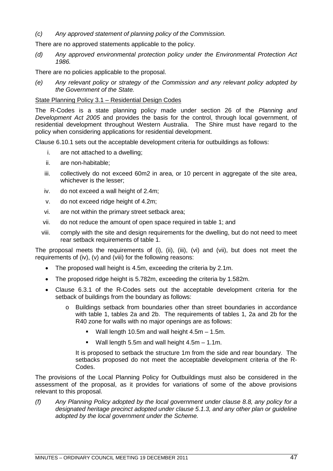### *(c) Any approved statement of planning policy of the Commission.*

There are no approved statements applicable to the policy.

*(d) Any approved environmental protection policy under the Environmental Protection Act 1986.*

There are no policies applicable to the proposal.

*(e) Any relevant policy or strategy of the Commission and any relevant policy adopted by the Government of the State.*

### State Planning Policy 3.1 – Residential Design Codes

The R-Codes is a state planning policy made under section 26 of the *Planning and Development Act 2005* and provides the basis for the control, through local government, of residential development throughout Western Australia. The Shire must have regard to the policy when considering applications for residential development.

Clause 6.10.1 sets out the acceptable development criteria for outbuildings as follows:

- i. are not attached to a dwelling;
- ii. are non-habitable;
- iii. collectively do not exceed 60m2 in area, or 10 percent in aggregate of the site area, whichever is the lesser;
- iv. do not exceed a wall height of 2.4m;
- v. do not exceed ridge height of 4.2m;
- vi. are not within the primary street setback area;
- vii. do not reduce the amount of open space required in table 1; and
- viii. comply with the site and design requirements for the dwelling, but do not need to meet rear setback requirements of table 1.

The proposal meets the requirements of (i), (ii), (iii), (vi) and (vii), but does not meet the requirements of (iv), (v) and (viii) for the following reasons:

- The proposed wall height is 4.5m, exceeding the criteria by 2.1m.
- The proposed ridge height is 5.782m, exceeding the criteria by 1.582m.
- Clause 6.3.1 of the R-Codes sets out the acceptable development criteria for the setback of buildings from the boundary as follows:
	- o Buildings setback from boundaries other than street boundaries in accordance with table 1, tables 2a and 2b. The requirements of tables 1, 2a and 2b for the R40 zone for walls with no major openings are as follows:
		- Wall length 10.5m and wall height 4.5m 1.5m.
		- **Wall length 5.5m and wall height 4.5m 1.1m.**

It is proposed to setback the structure 1m from the side and rear boundary. The setbacks proposed do not meet the acceptable development criteria of the R-Codes.

The provisions of the Local Planning Policy for Outbuildings must also be considered in the assessment of the proposal, as it provides for variations of some of the above provisions relevant to this proposal.

*(f) Any Planning Policy adopted by the local government under clause 8.8, any policy for a designated heritage precinct adopted under clause 5.1.3, and any other plan or guideline adopted by the local government under the Scheme.*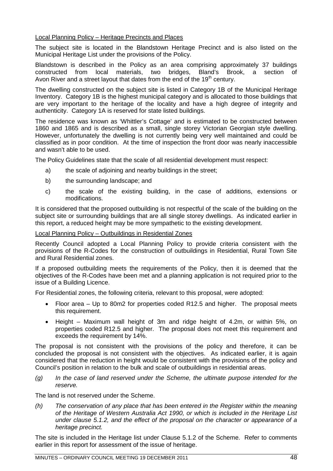Local Planning Policy – Heritage Precincts and Places

The subject site is located in the Blandstown Heritage Precinct and is also listed on the Municipal Heritage List under the provisions of the Policy.

Blandstown is described in the Policy as an area comprising approximately 37 buildings constructed from local materials, two bridges, Bland's Brook, a section of Avon River and a street layout that dates from the end of the  $19<sup>th</sup>$  century.

The dwelling constructed on the subject site is listed in Category 1B of the Municipal Heritage Inventory. Category 1B is the highest municipal category and is allocated to those buildings that are very important to the heritage of the locality and have a high degree of integrity and authenticity. Category 1A is reserved for state listed buildings.

The residence was known as 'Whittler's Cottage' and is estimated to be constructed between 1860 and 1865 and is described as a small, single storey Victorian Georgian style dwelling. However, unfortunately the dwelling is not currently being very well maintained and could be classified as in poor condition. At the time of inspection the front door was nearly inaccessible and wasn't able to be used.

The Policy Guidelines state that the scale of all residential development must respect:

- a) the scale of adjoining and nearby buildings in the street;
- b) the surrounding landscape; and
- c) the scale of the existing building, in the case of additions, extensions or modifications.

It is considered that the proposed outbuilding is not respectful of the scale of the building on the subject site or surrounding buildings that are all single storey dwellings. As indicated earlier in this report, a reduced height may be more sympathetic to the existing development.

### Local Planning Policy – Outbuildings in Residential Zones

Recently Council adopted a Local Planning Policy to provide criteria consistent with the provisions of the R-Codes for the construction of outbuildings in Residential, Rural Town Site and Rural Residential zones.

If a proposed outbuilding meets the requirements of the Policy, then it is deemed that the objectives of the R-Codes have been met and a planning application is not required prior to the issue of a Building Licence.

For Residential zones, the following criteria, relevant to this proposal, were adopted:

- Floor area Up to 80m2 for properties coded R12.5 and higher. The proposal meets this requirement.
- Height Maximum wall height of 3m and ridge height of 4.2m, or within 5%, on properties coded R12.5 and higher. The proposal does not meet this requirement and exceeds the requirement by 14%.

The proposal is not consistent with the provisions of the policy and therefore, it can be concluded the proposal is not consistent with the objectives. As indicated earlier, it is again considered that the reduction in height would be consistent with the provisions of the policy and Council's position in relation to the bulk and scale of outbuildings in residential areas.

*(g) In the case of land reserved under the Scheme, the ultimate purpose intended for the reserve.*

The land is not reserved under the Scheme.

*(h) The conservation of any place that has been entered in the Register within the meaning of the Heritage of Western Australia Act 1990, or which is included in the Heritage List under clause 5.1.2, and the effect of the proposal on the character or appearance of a heritage precinct.*

The site is included in the Heritage list under Clause 5.1.2 of the Scheme. Refer to comments earlier in this report for assessment of the issue of heritage.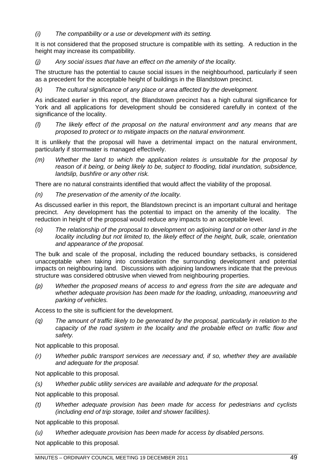*(i) The compatibility or a use or development with its setting.*

It is not considered that the proposed structure is compatible with its setting. A reduction in the height may increase its compatibility.

*(j) Any social issues that have an effect on the amenity of the locality.*

The structure has the potential to cause social issues in the neighbourhood, particularly if seen as a precedent for the acceptable height of buildings in the Blandstown precinct.

*(k) The cultural significance of any place or area affected by the development.*

As indicated earlier in this report, the Blandstown precinct has a high cultural significance for York and all applications for development should be considered carefully in context of the significance of the locality.

*(l) The likely effect of the proposal on the natural environment and any means that are proposed to protect or to mitigate impacts on the natural environment.*

It is unlikely that the proposal will have a detrimental impact on the natural environment, particularly if stormwater is managed effectively.

*(m) Whether the land to which the application relates is unsuitable for the proposal by reason of it being, or being likely to be, subject to flooding, tidal inundation, subsidence, landslip, bushfire or any other risk.*

There are no natural constraints identified that would affect the viability of the proposal.

*(n) The preservation of the amenity of the locality.*

As discussed earlier in this report, the Blandstown precinct is an important cultural and heritage precinct. Any development has the potential to impact on the amenity of the locality. The reduction in height of the proposal would reduce any impacts to an acceptable level.

*(o) The relationship of the proposal to development on adjoining land or on other land in the locality including but not limited to, the likely effect of the height, bulk, scale, orientation and appearance of the proposal.*

The bulk and scale of the proposal, including the reduced boundary setbacks, is considered unacceptable when taking into consideration the surrounding development and potential impacts on neighbouring land. Discussions with adjoining landowners indicate that the previous structure was considered obtrusive when viewed from neighbouring properties.

*(p) Whether the proposed means of access to and egress from the site are adequate and whether adequate provision has been made for the loading, unloading, manoeuvring and parking of vehicles.*

Access to the site is sufficient for the development.

*(q) The amount of traffic likely to be generated by the proposal, particularly in relation to the capacity of the road system in the locality and the probable effect on traffic flow and safety.*

Not applicable to this proposal.

*(r) Whether public transport services are necessary and, if so, whether they are available and adequate for the proposal.*

Not applicable to this proposal.

*(s) Whether public utility services are available and adequate for the proposal.*

Not applicable to this proposal.

*(t) Whether adequate provision has been made for access for pedestrians and cyclists (including end of trip storage, toilet and shower facilities).*

Not applicable to this proposal.

*(u) Whether adequate provision has been made for access by disabled persons.*

Not applicable to this proposal.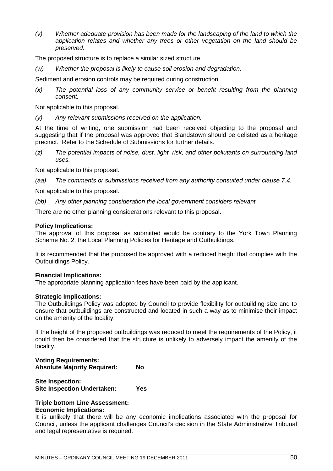*(v) Whether adequate provision has been made for the landscaping of the land to which the application relates and whether any trees or other vegetation on the land should be preserved.*

The proposed structure is to replace a similar sized structure.

*(w) Whether the proposal is likely to cause soil erosion and degradation.*

Sediment and erosion controls may be required during construction.

*(x) The potential loss of any community service or benefit resulting from the planning consent.*

Not applicable to this proposal.

*(y) Any relevant submissions received on the application.*

At the time of writing, one submission had been received objecting to the proposal and suggesting that if the proposal was approved that Blandstown should be delisted as a heritage precinct. Refer to the Schedule of Submissions for further details.

*(z) The potential impacts of noise, dust, light, risk, and other pollutants on surrounding land uses.*

Not applicable to this proposal.

*(aa) The comments or submissions received from any authority consulted under clause 7.4.*

Not applicable to this proposal.

*(bb) Any other planning consideration the local government considers relevant.*

There are no other planning considerations relevant to this proposal.

### **Policy Implications:**

The approval of this proposal as submitted would be contrary to the York Town Planning Scheme No. 2, the Local Planning Policies for Heritage and Outbuildings.

It is recommended that the proposed be approved with a reduced height that complies with the Outbuildings Policy.

### **Financial Implications:**

The appropriate planning application fees have been paid by the applicant.

### **Strategic Implications:**

The Outbuildings Policy was adopted by Council to provide flexibility for outbuilding size and to ensure that outbuildings are constructed and located in such a way as to minimise their impact on the amenity of the locality.

If the height of the proposed outbuildings was reduced to meet the requirements of the Policy, it could then be considered that the structure is unlikely to adversely impact the amenity of the locality.

### **Voting Requirements: Absolute Majority Required: No**

**Site Inspection: Site Inspection Undertaken: Yes**

### **Triple bottom Line Assessment: Economic Implications:**

It is unlikely that there will be any economic implications associated with the proposal for Council, unless the applicant challenges Council's decision in the State Administrative Tribunal and legal representative is required.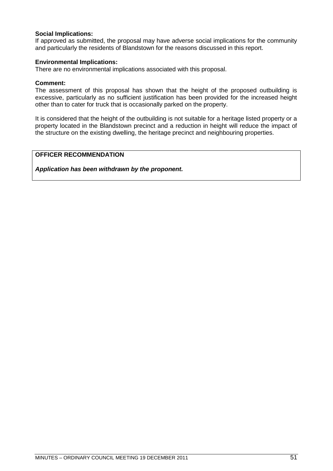### **Social Implications:**

If approved as submitted, the proposal may have adverse social implications for the community and particularly the residents of Blandstown for the reasons discussed in this report.

### **Environmental Implications:**

There are no environmental implications associated with this proposal.

### **Comment:**

The assessment of this proposal has shown that the height of the proposed outbuilding is excessive, particularly as no sufficient justification has been provided for the increased height other than to cater for truck that is occasionally parked on the property.

It is considered that the height of the outbuilding is not suitable for a heritage listed property or a property located in the Blandstown precinct and a reduction in height will reduce the impact of the structure on the existing dwelling, the heritage precinct and neighbouring properties.

### **OFFICER RECOMMENDATION**

*Application has been withdrawn by the proponent.*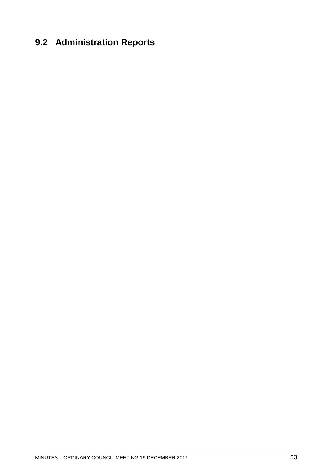## **9.2 Administration Reports**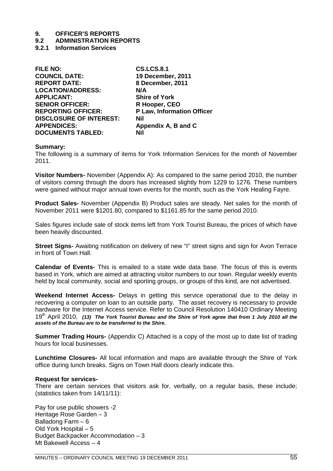### **9.2 ADMINISTRATION REPORTS**

**9.2.1 Information Services**

| <b>FILE NO:</b>                | <b>CS.LCS.8.1</b>                 |
|--------------------------------|-----------------------------------|
| <b>COUNCIL DATE:</b>           | 19 December, 2011                 |
| <b>REPORT DATE:</b>            | 8 December, 2011                  |
| <b>LOCATION/ADDRESS:</b>       | N/A                               |
| <b>APPLICANT:</b>              | <b>Shire of York</b>              |
| <b>SENIOR OFFICER:</b>         | R Hooper, CEO                     |
| <b>REPORTING OFFICER:</b>      | <b>P Law, Information Officer</b> |
| <b>DISCLOSURE OF INTEREST:</b> | <b>Nil</b>                        |
| <b>APPENDICES:</b>             | Appendix A, B and C               |
| <b>DOCUMENTS TABLED:</b>       | Nil                               |
|                                |                                   |

### **Summary:**

The following is a summary of items for York Information Services for the month of November 2011.

**Visitor Numbers-** November (Appendix A): As compared to the same period 2010, the number of visitors coming through the doors has increased slightly from 1229 to 1276. These numbers were gained without major annual town events for the month, such as the York Healing Fayre.

**Product Sales-** November (Appendix B) Product sales are steady. Net sales for the month of November 2011 were \$1201.80, compared to \$1161.85 for the same period 2010.

Sales figures include sale of stock items left from York Tourist Bureau, the prices of which have been heavily discounted.

**Street Signs-** Awaiting notification on delivery of new "I" street signs and sign for Avon Terrace in front of Town Hall.

**Calendar of Events-** This is emailed to a state wide data base. The focus of this is events based in York, which are aimed at attracting visitor numbers to our town. Regular weekly events held by local community, social and sporting groups, or groups of this kind, are not advertised.

**Weekend Internet Access-** Delays in getting this service operational due to the delay in recovering a computer on loan to an outside party. The asset recovery is necessary to provide hardware for the Internet Access service. Refer to Council Resolution 140410 Ordinary Meeting 19th April 2010, *(13) The York Tourist Bureau and the Shire of York agree that from 1 July 2010 all the assets of the Bureau are to be transferred to the Shire.*

**Summer Trading Hours-** (Appendix C) Attached is a copy of the most up to date list of trading hours for local businesses.

**Lunchtime Closures-** All local information and maps are available through the Shire of York office during lunch breaks. Signs on Town Hall doors clearly indicate this.

### **Request for services-**

There are certain services that visitors ask for, verbally, on a regular basis, these include; (statistics taken from 14/11/11):

Pay for use public showers -2 Heritage Rose Garden – 3 Balladong Farm – 6 Old York Hospital – 5 Budget Backpacker Accommodation – 3 Mt Bakewell Access – 4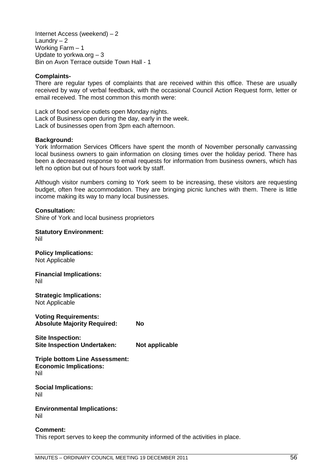Internet Access (weekend) – 2 Laundry – 2 Working Farm – 1 Update to yorkwa.org – 3 Bin on Avon Terrace outside Town Hall - 1

### **Complaints-**

There are regular types of complaints that are received within this office. These are usually received by way of verbal feedback, with the occasional Council Action Request form, letter or email received. The most common this month were:

Lack of food service outlets open Monday nights. Lack of Business open during the day, early in the week. Lack of businesses open from 3pm each afternoon.

### **Background:**

York Information Services Officers have spent the month of November personally canvassing local business owners to gain information on closing times over the holiday period. There has been a decreased response to email requests for information from business owners, which has left no option but out of hours foot work by staff.

Although visitor numbers coming to York seem to be increasing, these visitors are requesting budget, often free accommodation. They are bringing picnic lunches with them. There is little income making its way to many local businesses.

### **Consultation:**

Shire of York and local business proprietors

#### **Statutory Environment:** Nil

**Policy Implications:** Not Applicable

**Financial Implications:** Nil

**Strategic Implications:** Not Applicable

**Voting Requirements: Absolute Majority Required: No**

**Site Inspection: Site Inspection Undertaken: Not applicable**

**Triple bottom Line Assessment: Economic Implications:** Nil

**Social Implications:** Nil

**Environmental Implications:** Nil

## **Comment:**

This report serves to keep the community informed of the activities in place.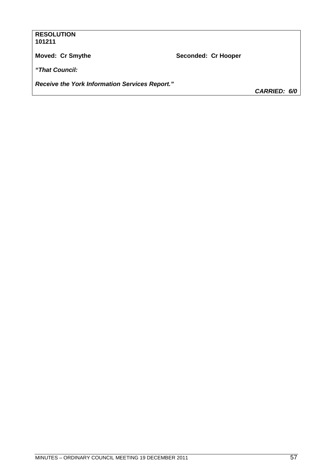### **RESOLUTION** 101211

Moved: Cr Smythe

Seconded: Cr Hooper

"That Council:

Receive the York Information Services Report."

CARRIED: 6/0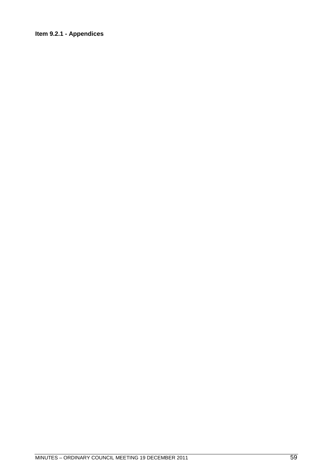### Item 9.2.1 - Appendices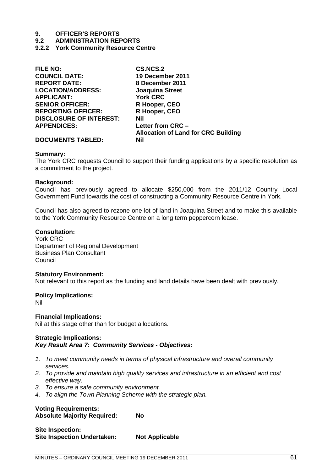### **9.2 ADMINISTRATION REPORTS**

**9.2.2 York Community Resource Centre**

| <b>FILE NO:</b>                | <b>CS.NCS.2</b>                            |
|--------------------------------|--------------------------------------------|
| <b>COUNCIL DATE:</b>           | 19 December 2011                           |
| <b>REPORT DATE:</b>            | 8 December 2011                            |
| <b>LOCATION/ADDRESS:</b>       | <b>Joaquina Street</b>                     |
| <b>APPLICANT:</b>              | <b>York CRC</b>                            |
| <b>SENIOR OFFICER:</b>         | R Hooper, CEO                              |
| <b>REPORTING OFFICER:</b>      | R Hooper, CEO                              |
| <b>DISCLOSURE OF INTEREST:</b> | Nil                                        |
| <b>APPENDICES:</b>             | Letter from CRC -                          |
|                                | <b>Allocation of Land for CRC Building</b> |
| <b>DOCUMENTS TABLED:</b>       | Nil                                        |
|                                |                                            |

### **Summary:**

The York CRC requests Council to support their funding applications by a specific resolution as a commitment to the project.

### **Background:**

Council has previously agreed to allocate \$250,000 from the 2011/12 Country Local Government Fund towards the cost of constructing a Community Resource Centre in York.

Council has also agreed to rezone one lot of land in Joaquina Street and to make this available to the York Community Resource Centre on a long term peppercorn lease.

### **Consultation:**

York CRC Department of Regional Development Business Plan Consultant Council

### **Statutory Environment:**

Not relevant to this report as the funding and land details have been dealt with previously.

### **Policy Implications:**

Nil

### **Financial Implications:**

Nil at this stage other than for budget allocations.

### **Strategic Implications:** *Key Result Area 7: Community Services - Objectives:*

- *1. To meet community needs in terms of physical infrastructure and overall community services.*
- *2. To provide and maintain high quality services and infrastructure in an efficient and cost effective way.*
- *3. To ensure a safe community environment.*
- *4. To align the Town Planning Scheme with the strategic plan.*

## **Voting Requirements:**

**Absolute Majority Required: No**

| Site Inspection:                   |                       |
|------------------------------------|-----------------------|
| <b>Site Inspection Undertaken:</b> | <b>Not Applicable</b> |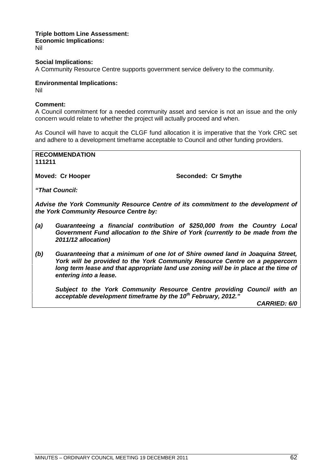### **Triple bottom Line Assessment: Economic Implications:** Nil

**Social Implications:** A Community Resource Centre supports government service delivery to the community.

### **Environmental Implications:**

Nil

### **Comment:**

A Council commitment for a needed community asset and service is not an issue and the only concern would relate to whether the project will actually proceed and when.

As Council will have to acquit the CLGF fund allocation it is imperative that the York CRC set and adhere to a development timeframe acceptable to Council and other funding providers.

**RECOMMENDATION 111211**

**Moved: Cr Hooper Seconded: Cr Smythe** 

*"That Council:*

*Advise the York Community Resource Centre of its commitment to the development of the York Community Resource Centre by:*

- *(a) Guaranteeing a financial contribution of \$250,000 from the Country Local Government Fund allocation to the Shire of York (currently to be made from the 2011/12 allocation)*
- *(b) Guaranteeing that a minimum of one lot of Shire owned land in Joaquina Street, York will be provided to the York Community Resource Centre on a peppercorn long term lease and that appropriate land use zoning will be in place at the time of entering into a lease.*

*Subject to the York Community Resource Centre providing Council with an acceptable development timeframe by the 10th February, 2012."*

*CARRIED: 6/0*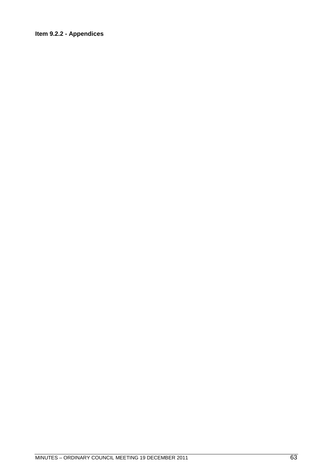## Item 9.2.2 - Appendices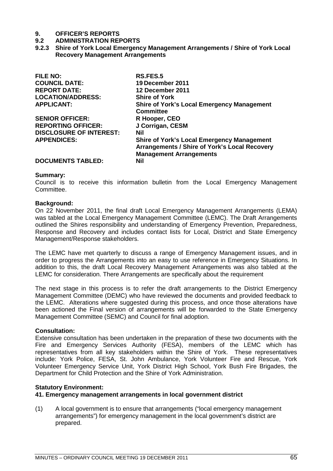### **9.2 ADMINISTRATION REPORTS**

**9.2.3 Shire of York Local Emergency Management Arrangements / Shire of York Local Recovery Management Arrangements**

| <b>FILE NO:</b>                | RS.FES.5                                             |
|--------------------------------|------------------------------------------------------|
| <b>COUNCIL DATE:</b>           | 19 December 2011                                     |
| <b>REPORT DATE:</b>            | 12 December 2011                                     |
| <b>LOCATION/ADDRESS:</b>       | <b>Shire of York</b>                                 |
| <b>APPLICANT:</b>              | <b>Shire of York's Local Emergency Management</b>    |
|                                | <b>Committee</b>                                     |
| <b>SENIOR OFFICER:</b>         | R Hooper, CEO                                        |
| <b>REPORTING OFFICER:</b>      | J Corrigan, CESM                                     |
| <b>DISCLOSURE OF INTEREST:</b> | Nil                                                  |
| <b>APPENDICES:</b>             | <b>Shire of York's Local Emergency Management</b>    |
|                                | <b>Arrangements / Shire of York's Local Recovery</b> |
|                                | <b>Management Arrangements</b>                       |
| <b>DOCUMENTS TABLED:</b>       | Nil                                                  |

### **Summary:**

Council is to receive this information bulletin from the Local Emergency Management Committee.

### **Background:**

On 22 November 2011, the final draft Local Emergency Management Arrangements (LEMA) was tabled at the Local Emergency Management Committee (LEMC). The Draft Arrangements outlined the Shires responsibility and understanding of Emergency Prevention, Preparedness, Response and Recovery and includes contact lists for Local, District and State Emergency Management/Response stakeholders.

The LEMC have met quarterly to discuss a range of Emergency Management issues, and in order to progress the Arrangements into an easy to use reference in Emergency Situations. In addition to this, the draft Local Recovery Management Arrangements was also tabled at the LEMC for consideration. There Arrangements are specifically about the requirement

The next stage in this process is to refer the draft arrangements to the District Emergency Management Committee (DEMC) who have reviewed the documents and provided feedback to the LEMC. Alterations where suggested during this process, and once those alterations have been actioned the Final version of arrangements will be forwarded to the State Emergency Management Committee (SEMC) and Council for final adoption.

### **Consultation:**

Extensive consultation has been undertaken in the preparation of these two documents with the Fire and Emergency Services Authority (FESA), members of the LEMC which has representatives from all key stakeholders within the Shire of York. These representatives include: York Police, FESA, St. John Ambulance, York Volunteer Fire and Rescue, York Volunteer Emergency Service Unit, York District High School, York Bush Fire Brigades, the Department for Child Protection and the Shire of York Administration.

### **Statutory Environment:**

### **41. Emergency management arrangements in local government district**

(1) A local government is to ensure that arrangements ("local emergency management arrangements") for emergency management in the local government's district are prepared.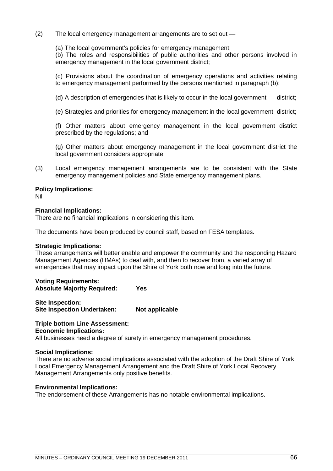(2) The local emergency management arrangements are to set out —

(a) The local government's policies for emergency management;

(b) The roles and responsibilities of public authorities and other persons involved in emergency management in the local government district;

(c) Provisions about the coordination of emergency operations and activities relating to emergency management performed by the persons mentioned in paragraph (b);

(d) A description of emergencies that is likely to occur in the local government district;

(e) Strategies and priorities for emergency management in the local government district;

(f) Other matters about emergency management in the local government district prescribed by the regulations; and

(g) Other matters about emergency management in the local government district the local government considers appropriate.

(3) Local emergency management arrangements are to be consistent with the State emergency management policies and State emergency management plans.

### **Policy Implications:**

Nil

### **Financial Implications:**

There are no financial implications in considering this item.

The documents have been produced by council staff, based on FESA templates.

### **Strategic Implications:**

These arrangements will better enable and empower the community and the responding Hazard Management Agencies (HMAs) to deal with, and then to recover from, a varied array of emergencies that may impact upon the Shire of York both now and long into the future.

**Voting Requirements: Absolute Majority Required: Yes**

**Site Inspection: Site Inspection Undertaken: Not applicable**

### **Triple bottom Line Assessment: Economic Implications:**

All businesses need a degree of surety in emergency management procedures.

### **Social Implications:**

There are no adverse social implications associated with the adoption of the Draft Shire of York Local Emergency Management Arrangement and the Draft Shire of York Local Recovery Management Arrangements only positive benefits.

### **Environmental Implications:**

The endorsement of these Arrangements has no notable environmental implications.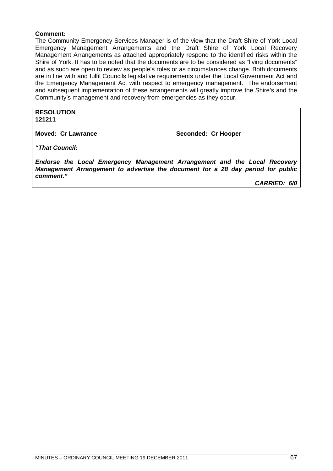### **Comment:**

The Community Emergency Services Manager is of the view that the Draft Shire of York Local Emergency Management Arrangements and the Draft Shire of York Local Recovery Management Arrangements as attached appropriately respond to the identified risks within the Shire of York. It has to be noted that the documents are to be considered as "living documents" and as such are open to review as people's roles or as circumstances change. Both documents are in line with and fulfil Councils legislative requirements under the Local Government Act and the Emergency Management Act with respect to emergency management. The endorsement and subsequent implementation of these arrangements will greatly improve the Shire's and the Community's management and recovery from emergencies as they occur.

**RESOLUTION 121211**

**Moved: Cr Lawrance Seconded: Cr Hooper** 

*"That Council:*

*Endorse the Local Emergency Management Arrangement and the Local Recovery Management Arrangement to advertise the document for a 28 day period for public comment."*

*CARRIED: 6/0*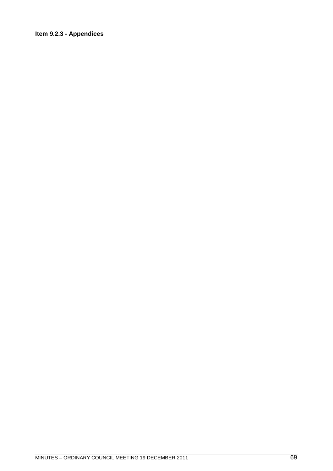## Item 9.2.3 - Appendices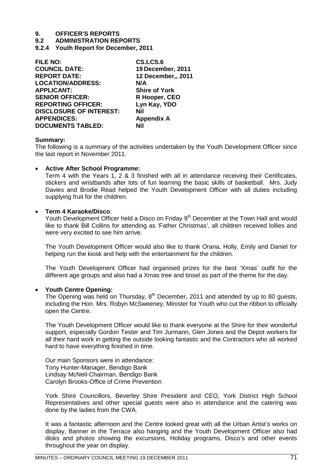**9.2 ADMINISTRATION REPORTS**

**9.2.4 Youth Report for December, 2011**

| <b>FILE NO:</b>                | CS.LCS.6             |
|--------------------------------|----------------------|
| <b>COUNCIL DATE:</b>           | 19 December, 2011    |
| <b>REPORT DATE:</b>            | 12 December,, 2011   |
| <b>LOCATION/ADDRESS:</b>       | N/A                  |
| <b>APPLICANT:</b>              | <b>Shire of York</b> |
| <b>SENIOR OFFICER:</b>         | R Hooper, CEO        |
| <b>REPORTING OFFICER:</b>      | Lyn Kay, YDO         |
| <b>DISCLOSURE OF INTEREST:</b> | Nil                  |
| <b>APPENDICES:</b>             | <b>Appendix A</b>    |
| <b>DOCUMENTS TABLED:</b>       | Nil                  |

### **Summary:**

The following is a summary of the activities undertaken by the Youth Development Officer since the last report in November 2011.

### **Active After School Programme:**

Term 4 with the Years 1, 2 & 3 finished with all in attendance receiving their Certificates, stickers and wristbands after lots of fun learning the basic skills of basketball. Mrs. Judy Davies and Brodie Read helped the Youth Development Officer with all duties including supplying fruit for the children.

### **Term 4 Karaoke/Disco**:

Youth Development Officer held a Disco on Friday 9<sup>th</sup> December at the Town Hall and would like to thank Bill Collins for attending as 'Father Christmas', all children received lollies and were very excited to see him arrive.

The Youth Development Officer would also like to thank Orana, Holly, Emily and Daniel for helping run the kiosk and help with the entertainment for the children.

The Youth Development Officer had organised prizes for the best 'Xmas' outfit for the different age groups and also had a Xmas tree and tinsel as part of the theme for the day.

### **Youth Centre Opening:**

The Opening was held on Thursday,  $8<sup>th</sup>$  December, 2011 and attended by up to 80 guests, including the Hon. Mrs. Robyn McSweeney, Minister for Youth who cut the ribbon to officially open the Centre.

The Youth Development Officer would like to thank everyone at the Shire for their wonderful support, especially Gordon Tester and Tim Jurmann, Glen Jones and the Depot workers for all their hard work in getting the outside looking fantastic and the Contractors who all worked hard to have everything finished in time.

Our main Sponsors were in attendance: Tony Hunter-Manager, Bendigo Bank Lindsay McNeil-Chairman, Bendigo Bank Carolyn Brooks-Office of Crime Prevention

York Shire Councillors, Beverley Shire President and CEO, York District High School Representatives and other special guests were also in attendance and the catering was done by the ladies from the CWA.

It was a fantastic afternoon and the Centre looked great with all the Urban Artist's works on display, Banner in the Terrace also hanging and the Youth Development Officer also had disks and photos showing the excursions, Holiday programs, Disco's and other events throughout the year on display.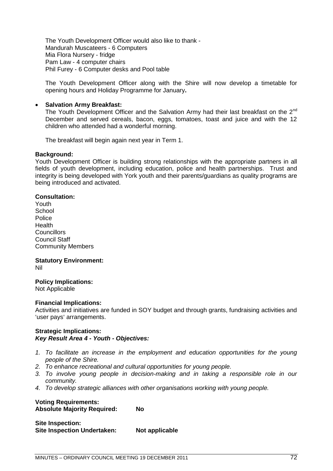The Youth Development Officer would also like to thank - Mandurah Muscateers - 6 Computers Mia Flora Nursery - fridge Pam Law - 4 computer chairs Phil Furey - 6 Computer desks and Pool table

The Youth Development Officer along with the Shire will now develop a timetable for opening hours and Holiday Programme for January**.**

### **Salvation Army Breakfast:**

The Youth Development Officer and the Salvation Army had their last breakfast on the 2<sup>nd</sup> December and served cereals, bacon, eggs, tomatoes, toast and juice and with the 12 children who attended had a wonderful morning.

The breakfast will begin again next year in Term 1.

### **Background:**

Youth Development Officer is building strong relationships with the appropriate partners in all fields of youth development, including education, police and health partnerships. Trust and integrity is being developed with York youth and their parents/guardians as quality programs are being introduced and activated.

### **Consultation:**

Youth **School** Police Health **Councillors** Council Staff Community Members

## **Statutory Environment:**

Nil

### **Policy Implications:**

Not Applicable

### **Financial Implications:**

Activities and initiatives are funded in SOY budget and through grants, fundraising activities and 'user pays' arrangements.

### **Strategic Implications:** *Key Result Area 4 - Youth - Objectives:*

- *1. To facilitate an increase in the employment and education opportunities for the young people of the Shire.*
- *2. To enhance recreational and cultural opportunities for young people.*
- *3. To involve young people in decision-making and in taking a responsible role in our community.*
- *4. To develop strategic alliances with other organisations working with young people.*

### **Voting Requirements: Absolute Majority Required: No**

**Site Inspection: Site Inspection Undertaken: Not applicable**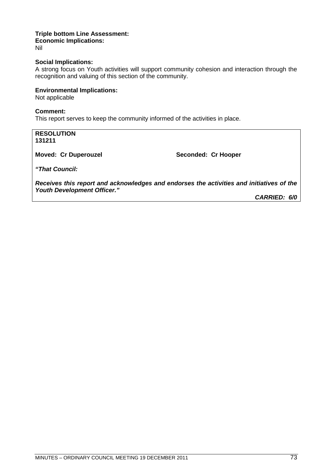#### **Triple bottom Line Assessment: Economic Implications:** Nil

## **Social Implications:**

A strong focus on Youth activities will support community cohesion and interaction through the recognition and valuing of this section of the community.

## **Environmental Implications:**

Not applicable

## **Comment:**

This report serves to keep the community informed of the activities in place.

## **RESOLUTION 131211**

**Moved: Cr Duperouzel Seconded: Cr Hooper** 

*"That Council:*

*Receives this report and acknowledges and endorses the activities and initiatives of the Youth Development Officer."*

*CARRIED: 6/0*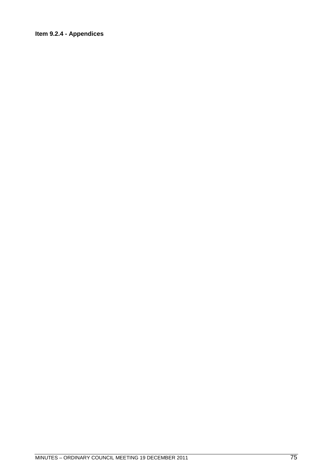# Item 9.2.4 - Appendices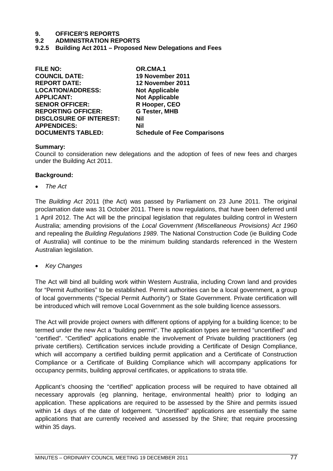# **9. OFFICER'S REPORTS**

## **9.2 ADMINISTRATION REPORTS**

**9.2.5 Building Act 2011 – Proposed New Delegations and Fees**

| <b>FILE NO:</b>                | OR.CMA.1                           |
|--------------------------------|------------------------------------|
| <b>COUNCIL DATE:</b>           | 19 November 2011                   |
| <b>REPORT DATE:</b>            | <b>12 November 2011</b>            |
| <b>LOCATION/ADDRESS:</b>       | <b>Not Applicable</b>              |
| <b>APPLICANT:</b>              | <b>Not Applicable</b>              |
| <b>SENIOR OFFICER:</b>         | R Hooper, CEO                      |
| <b>REPORTING OFFICER:</b>      | <b>G Tester, MHB</b>               |
| <b>DISCLOSURE OF INTEREST:</b> | Nil                                |
| <b>APPENDICES:</b>             | Nil                                |
| <b>DOCUMENTS TABLED:</b>       | <b>Schedule of Fee Comparisons</b> |
|                                |                                    |

## **Summary:**

Council to consideration new delegations and the adoption of fees of new fees and charges under the Building Act 2011.

## **Background:**

*The Act*

The *Building Act* 2011 (the Act) was passed by Parliament on 23 June 2011. The original proclamation date was 31 October 2011. There is now regulations, that have been deferred until 1 April 2012. The Act will be the principal legislation that regulates building control in Western Australia; amending provisions of the *Local Government (Miscellaneous Provisions) Act 1960* and repealing the *Building Regulations 1989*. The National Construction Code (ie Building Code of Australia) will continue to be the minimum building standards referenced in the Western Australian legislation.

*Key Changes*

The Act will bind all building work within Western Australia, including Crown land and provides for "Permit Authorities" to be established. Permit authorities can be a local government, a group of local governments ("Special Permit Authority") or State Government. Private certification will be introduced which will remove Local Government as the sole building licence assessors.

The Act will provide project owners with different options of applying for a building licence; to be termed under the new Act a "building permit". The application types are termed "uncertified" and "certified". "Certified" applications enable the involvement of Private building practitioners (eg private certifiers). Certification services include providing a Certificate of Design Compliance, which will accompany a certified building permit application and a Certificate of Construction Compliance or a Certificate of Building Compliance which will accompany applications for occupancy permits, building approval certificates, or applications to strata title.

Applicant's choosing the "certified" application process will be required to have obtained all necessary approvals (eg planning, heritage, environmental health) prior to lodging an application. These applications are required to be assessed by the Shire and permits issued within 14 days of the date of lodgement. "Uncertified" applications are essentially the same applications that are currently received and assessed by the Shire; that require processing within 35 days.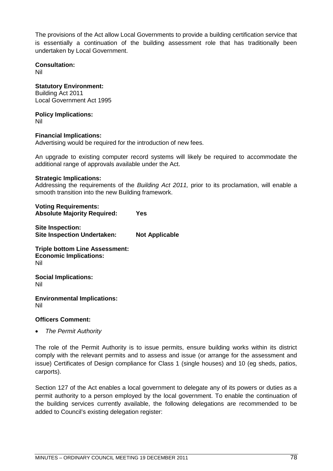The provisions of the Act allow Local Governments to provide a building certification service that is essentially a continuation of the building assessment role that has traditionally been undertaken by Local Government.

**Consultation:** Nil

**Statutory Environment:** Building Act 2011 Local Government Act 1995

**Policy Implications:**

Nil

**Financial Implications:**

Advertising would be required for the introduction of new fees.

An upgrade to existing computer record systems will likely be required to accommodate the additional range of approvals available under the Act.

# **Strategic Implications:**

Addressing the requirements of the *Building Act 2011,* prior to its proclamation, will enable a smooth transition into the new Building framework.

**Voting Requirements: Absolute Majority Required: Yes**

**Site Inspection: Site Inspection Undertaken: Not Applicable**

**Triple bottom Line Assessment: Economic Implications:** Nil

**Social Implications:** Nil

**Environmental Implications:** Nil

# **Officers Comment:**

*The Permit Authority*

The role of the Permit Authority is to issue permits, ensure building works within its district comply with the relevant permits and to assess and issue (or arrange for the assessment and issue) Certificates of Design compliance for Class 1 (single houses) and 10 (eg sheds, patios, carports).

Section 127 of the Act enables a local government to delegate any of its powers or duties as a permit authority to a person employed by the local government. To enable the continuation of the building services currently available, the following delegations are recommended to be added to Council's existing delegation register: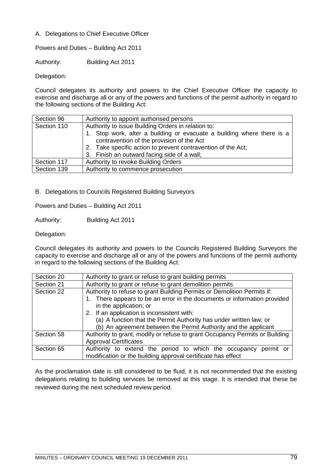# A. Delegations to Chief Executive Officer

Powers and Duties – Building Act 2011

Authority: Building Act 2011

Delegation:

Council delegates its authority and powers to the Chief Executive Officer the capacity to exercise and discharge all or any of the powers and functions of the permit authority in regard to the following sections of the Building Act:

| Section 96  | Authority to appoint authorised persons                                                                                                                                                                                                                                                  |
|-------------|------------------------------------------------------------------------------------------------------------------------------------------------------------------------------------------------------------------------------------------------------------------------------------------|
| Section 110 | Authority to issue Building Orders in relation to:<br>1. Stop work, alter a building or evacuate a building where there is a<br>contravention of the provision of the Act<br>2. Take specific action to prevent contravention of the Act;<br>3. Finish an outward facing side of a wall; |
| Section 117 | Authority to revoke Building Orders                                                                                                                                                                                                                                                      |
| Section 139 | Authority to commence prosecution                                                                                                                                                                                                                                                        |

B. Delegations to Councils Registered Building Surveyors

Powers and Duties – Building Act 2011

Authority: Building Act 2011

Delegation:

Council delegates its authority and powers to the Councils Registered Building Surveyors the capacity to exercise and discharge all or any of the powers and functions of the permit authority in regard to the following sections of the Building Act:

| Section 20 | Authority to grant or refuse to grant building permits                                                                             |  |
|------------|------------------------------------------------------------------------------------------------------------------------------------|--|
| Section 21 | Authority to grant or refuse to grant demolition permits                                                                           |  |
| Section 22 | Authority to refuse to grant Building Permits or Demolition Permits if:                                                            |  |
|            | 1. There appears to be an error in the documents or information provided                                                           |  |
|            | in the application; or                                                                                                             |  |
|            | 2. If an application is inconsistent with:                                                                                         |  |
|            | (a) A function that the Permit Authority has under written law; or                                                                 |  |
|            | (b) An agreement between the Permit Authority and the applicant                                                                    |  |
| Section 58 | Authority to grant, modify or refuse to grant Occupancy Permits or Building                                                        |  |
|            | <b>Approval Certificates</b>                                                                                                       |  |
| Section 65 | Authority to extend the period to which the occupancy<br>permit or<br>modification or the building approval certificate has effect |  |

As the proclamation date is still considered to be fluid, it is not recommended that the existing delegations relating to building services be removed at this stage. It is intended that these be reviewed during the next scheduled review period.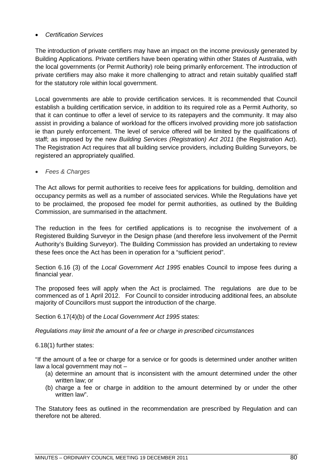# *Certification Services*

The introduction of private certifiers may have an impact on the income previously generated by Building Applications. Private certifiers have been operating within other States of Australia, with the local governments (or Permit Authority) role being primarily enforcement. The introduction of private certifiers may also make it more challenging to attract and retain suitably qualified staff for the statutory role within local government.

Local governments are able to provide certification services. It is recommended that Council establish a building certification service, in addition to its required role as a Permit Authority, so that it can continue to offer a level of service to its ratepayers and the community. It may also assist in providing a balance of workload for the officers involved providing more job satisfaction ie than purely enforcement. The level of service offered will be limited by the qualifications of staff; as imposed by the new *Building Services (Registration) Act 2011* (the Registration Act). The Registration Act requires that all building service providers, including Building Surveyors, be registered an appropriately qualified.

*Fees & Charges*

The Act allows for permit authorities to receive fees for applications for building, demolition and occupancy permits as well as a number of associated services. While the Regulations have yet to be proclaimed, the proposed fee model for permit authorities, as outlined by the Building Commission, are summarised in the attachment.

The reduction in the fees for certified applications is to recognise the involvement of a Registered Building Surveyor in the Design phase (and therefore less involvement of the Permit Authority's Building Surveyor). The Building Commission has provided an undertaking to review these fees once the Act has been in operation for a "sufficient period".

Section 6.16 (3) of the *Local Government Act 1995* enables Council to impose fees during a financial year.

The proposed fees will apply when the Act is proclaimed. The regulations are due to be commenced as of 1 April 2012. For Council to consider introducing additional fees, an absolute majority of Councillors must support the introduction of the charge.

Section 6.17(4)(b) of the *Local Government Act 1995* states:

*Regulations may limit the amount of a fee or charge in prescribed circumstances*

6.18(1) further states:

"If the amount of a fee or charge for a service or for goods is determined under another written law a local government may not –

- (a) determine an amount that is inconsistent with the amount determined under the other written law; or
- (b) charge a fee or charge in addition to the amount determined by or under the other written law".

The Statutory fees as outlined in the recommendation are prescribed by Regulation and can therefore not be altered.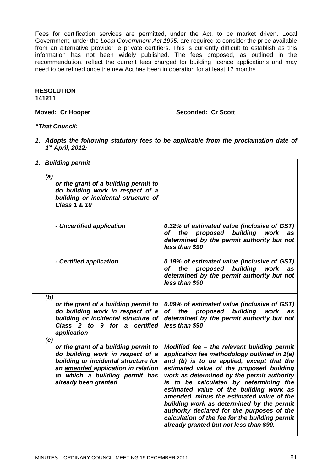Fees for certification services are permitted, under the Act, to be market driven. Local Government, under the *Local Government Act 1995,* are required to consider the price available from an alternative provider ie private certifiers. This is currently difficult to establish as this information has not been widely published. The fees proposed, as outlined in the recommendation, reflect the current fees charged for building licence applications and may need to be refined once the new Act has been in operation for at least 12 months

| <b>RESOLUTION</b>                                                                                                                                                                                                |                                                                                                                                                                                                                                                                                                                                                                                                                                                                                                                                                              |
|------------------------------------------------------------------------------------------------------------------------------------------------------------------------------------------------------------------|--------------------------------------------------------------------------------------------------------------------------------------------------------------------------------------------------------------------------------------------------------------------------------------------------------------------------------------------------------------------------------------------------------------------------------------------------------------------------------------------------------------------------------------------------------------|
| 141211                                                                                                                                                                                                           |                                                                                                                                                                                                                                                                                                                                                                                                                                                                                                                                                              |
| <b>Moved: Cr Hooper</b>                                                                                                                                                                                          | <b>Seconded: Cr Scott</b>                                                                                                                                                                                                                                                                                                                                                                                                                                                                                                                                    |
| "That Council:                                                                                                                                                                                                   |                                                                                                                                                                                                                                                                                                                                                                                                                                                                                                                                                              |
| $1st$ April, 2012:                                                                                                                                                                                               | 1. Adopts the following statutory fees to be applicable from the proclamation date of                                                                                                                                                                                                                                                                                                                                                                                                                                                                        |
| 1. Building permit                                                                                                                                                                                               |                                                                                                                                                                                                                                                                                                                                                                                                                                                                                                                                                              |
| (a)                                                                                                                                                                                                              |                                                                                                                                                                                                                                                                                                                                                                                                                                                                                                                                                              |
| or the grant of a building permit to<br>do building work in respect of a<br>building or incidental structure of<br>Class 1 & 10                                                                                  |                                                                                                                                                                                                                                                                                                                                                                                                                                                                                                                                                              |
| - Uncertified application                                                                                                                                                                                        | 0.32% of estimated value (inclusive of GST)<br>of the proposed building work<br>as<br>determined by the permit authority but not<br>less than \$90                                                                                                                                                                                                                                                                                                                                                                                                           |
| - Certified application                                                                                                                                                                                          | 0.19% of estimated value (inclusive of GST)<br>the proposed building work<br>of<br>as<br>determined by the permit authority but not<br>less than \$90                                                                                                                                                                                                                                                                                                                                                                                                        |
| (b)<br>or the grant of a building permit to<br>do building work in respect of a<br>building or incidental structure of<br>Class 2 to 9 for a certified                                                           | 0.09% of estimated value (inclusive of GST)<br>proposed<br>building<br>the<br>of<br>work<br>as<br>determined by the permit authority but not<br>less than \$90                                                                                                                                                                                                                                                                                                                                                                                               |
| application<br>(c)                                                                                                                                                                                               |                                                                                                                                                                                                                                                                                                                                                                                                                                                                                                                                                              |
| or the grant of a building permit to<br>do building work in respect of a<br>building or incidental structure for<br>an amended application in relation<br>to which a building permit has<br>already been granted | Modified fee - the relevant building permit<br>application fee methodology outlined in 1(a)<br>and (b) is to be applied, except that the<br>estimated value of the proposed building<br>work as determined by the permit authority<br>is to be calculated by determining the<br>estimated value of the building work as<br>amended, minus the estimated value of the<br>building work as determined by the permit<br>authority declared for the purposes of the<br>calculation of the fee for the building permit<br>already granted but not less than \$90. |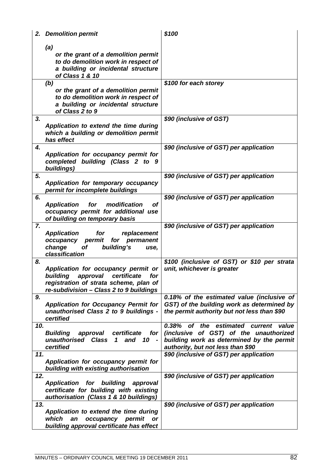| 2. Demolition permit                                                                                                                                                         | \$100                                                                                                                                                            |
|------------------------------------------------------------------------------------------------------------------------------------------------------------------------------|------------------------------------------------------------------------------------------------------------------------------------------------------------------|
| (a)<br>or the grant of a demolition permit<br>to do demolition work in respect of<br>a building or incidental structure<br>of Class 1 & 10                                   | \$100 for each storey                                                                                                                                            |
| (b)<br>or the grant of a demolition permit<br>to do demolition work in respect of<br>a building or incidental structure<br>of Class 2 to 9                                   |                                                                                                                                                                  |
| 3.<br>Application to extend the time during<br>which a building or demolition permit<br>has effect                                                                           | \$90 (inclusive of GST)                                                                                                                                          |
| 4.<br>Application for occupancy permit for<br>completed building (Class 2 to 9<br>buildings)                                                                                 | \$90 (inclusive of GST) per application                                                                                                                          |
| 5.<br>Application for temporary occupancy<br>permit for incomplete buildings                                                                                                 | \$90 (inclusive of GST) per application                                                                                                                          |
| 6.<br><b>Application</b><br>modification<br><b>of</b><br>for<br>occupancy permit for additional use<br>of building on temporary basis                                        | \$90 (inclusive of GST) per application                                                                                                                          |
| 7.<br><b>Application</b><br>for<br>replacement<br>occupancy<br>permit<br>for<br>permanent<br>change<br>Οf<br>building's<br>use,<br>classification                            | \$90 (inclusive of GST) per application                                                                                                                          |
| 8.<br>Application for occupancy permit or<br>certificate<br>building<br>approval<br>for<br>registration of strata scheme, plan of<br>re-subdivision - Class 2 to 9 buildings | \$100 (inclusive of GST) or \$10 per strata<br>unit, whichever is greater                                                                                        |
| 9.<br><b>Application for Occupancy Permit for</b><br>unauthorised Class 2 to 9 buildings -<br>certified                                                                      | 0.18% of the estimated value (inclusive of<br>GST) of the building work as determined by<br>the permit authority but not less than \$90                          |
| 10.<br>approval<br>certificate<br><b>Building</b><br>for<br>unauthorised Class<br>$\mathbf 1$<br>and<br>10<br>$\overline{\phantom{a}}$<br>certified                          | 0.38% of the estimated current value<br>(inclusive of GST) of the unauthorized<br>building work as determined by the permit<br>authority, but not less than \$90 |
| 11.<br>Application for occupancy permit for<br>building with existing authorisation                                                                                          | \$90 (inclusive of GST) per application                                                                                                                          |
| 12.<br><b>Application for building</b><br>approval<br>certificate for building with existing<br>authorisation (Class 1 & 10 buildings)                                       | \$90 (inclusive of GST) per application                                                                                                                          |
| 13.<br>Application to extend the time during<br>occupancy permit<br>which<br>an<br>or<br>building approval certificate has effect                                            | \$90 (inclusive of GST) per application                                                                                                                          |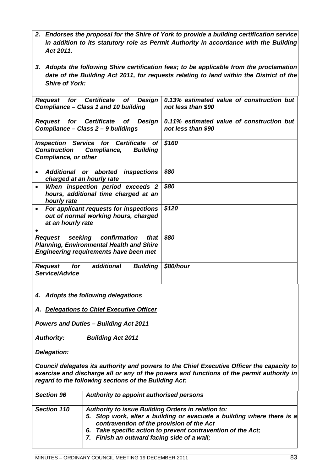*2. Endorses the proposal for the Shire of York to provide a building certification service in addition to its statutory role as Permit Authority in accordance with the Building Act 2011.*

*3. Adopts the following Shire certification fees; to be applicable from the proclamation date of the Building Act 2011, for requests relating to land within the District of the Shire of York:*

| Request for Certificate of<br>Design<br>Compliance - Class 1 and 10 building                                                                   | 0.13% estimated value of construction but<br>not less than \$90 |
|------------------------------------------------------------------------------------------------------------------------------------------------|-----------------------------------------------------------------|
| Request for Certificate of<br>Design<br>Compliance - Class 2 - 9 buildings                                                                     | 0.11% estimated value of construction but<br>not less than \$90 |
| <b>Inspection Service for Certificate</b><br><b>of</b><br><b>Building</b><br><b>Construction</b><br>Compliance,<br><b>Compliance, or other</b> | \$160                                                           |
| Additional or aborted<br>inspections<br>charged at an hourly rate                                                                              | \$80                                                            |
| When inspection period exceeds 2<br>$\bullet$<br>hours, additional time charged at an<br>hourly rate                                           | \$80                                                            |
| For applicant requests for inspections<br>$\bullet$<br>out of normal working hours, charged<br>at an hourly rate                               | \$120                                                           |
| Request seeking confirmation<br>that<br><b>Planning, Environmental Health and Shire</b><br><b>Engineering requirements have been met</b>       | \$80                                                            |
| for additional<br><b>Building</b><br>Request<br>Service/Advice                                                                                 | \$80/hour                                                       |

*4. Adopts the following delegations*

*A. Delegations to Chief Executive Officer*

*Powers and Duties – Building Act 2011*

*Authority: Building Act 2011*

*Delegation:*

*Council delegates its authority and powers to the Chief Executive Officer the capacity to exercise and discharge all or any of the powers and functions of the permit authority in regard to the following sections of the Building Act:*

| <b>Section 96</b> | Authority to appoint authorised persons                                                                                                                                                                                                                                                  |
|-------------------|------------------------------------------------------------------------------------------------------------------------------------------------------------------------------------------------------------------------------------------------------------------------------------------|
| Section 110       | Authority to issue Building Orders in relation to:<br>5. Stop work, alter a building or evacuate a building where there is a<br>contravention of the provision of the Act<br>6. Take specific action to prevent contravention of the Act;<br>7. Finish an outward facing side of a wall; |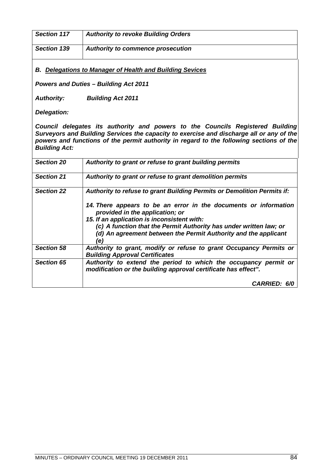| <b>Section 117</b> | <b>Authority to revoke Building Orders</b> |
|--------------------|--------------------------------------------|
| Section 139        | Authority to commence prosecution          |

*B. Delegations to Manager of Health and Building Sevices*

*Powers and Duties – Building Act 2011*

*Authority: Building Act 2011*

*Delegation:*

*Council delegates its authority and powers to the Councils Registered Building Surveyors and Building Services the capacity to exercise and discharge all or any of the powers and functions of the permit authority in regard to the following sections of the Building Act:*

| <b>Section 20</b> | Authority to grant or refuse to grant building permits                                                                                             |
|-------------------|----------------------------------------------------------------------------------------------------------------------------------------------------|
| <b>Section 21</b> | Authority to grant or refuse to grant demolition permits                                                                                           |
| <b>Section 22</b> | Authority to refuse to grant Building Permits or Demolition Permits if:                                                                            |
|                   | 14. There appears to be an error in the documents or information<br>provided in the application; or<br>15. If an application is inconsistent with: |
|                   | (c) A function that the Permit Authority has under written law; or<br>(d) An agreement between the Permit Authority and the applicant<br>(e)       |
| <b>Section 58</b> | Authority to grant, modify or refuse to grant Occupancy Permits or<br><b>Building Approval Certificates</b>                                        |
| <b>Section 65</b> | Authority to extend the period to which the occupancy permit or<br>modification or the building approval certificate has effect".                  |
|                   | CARRIED: 6/0                                                                                                                                       |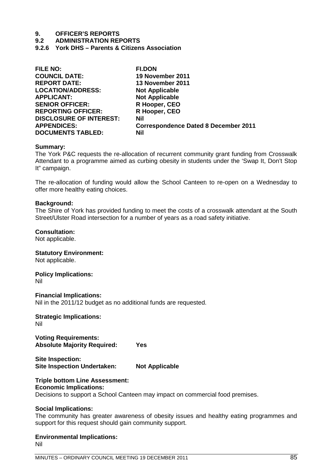# **9. OFFICER'S REPORTS**

**9.2 ADMINISTRATION REPORTS**

**9.2.6 York DHS – Parents & Citizens Association**

| <b>FILE NO:</b>                | <b>FI.DON</b>                               |
|--------------------------------|---------------------------------------------|
| <b>COUNCIL DATE:</b>           | 19 November 2011                            |
| <b>REPORT DATE:</b>            | 13 November 2011                            |
| <b>LOCATION/ADDRESS:</b>       | <b>Not Applicable</b>                       |
| <b>APPLICANT:</b>              | <b>Not Applicable</b>                       |
| <b>SENIOR OFFICER:</b>         | R Hooper, CEO                               |
| <b>REPORTING OFFICER:</b>      | R Hooper, CEO                               |
| <b>DISCLOSURE OF INTEREST:</b> | Nil                                         |
| <b>APPENDICES:</b>             | <b>Correspondence Dated 8 December 2011</b> |
| <b>DOCUMENTS TABLED:</b>       | <b>Nil</b>                                  |

### **Summary:**

The York P&C requests the re-allocation of recurrent community grant funding from Crosswalk Attendant to a programme aimed as curbing obesity in students under the 'Swap It, Don't Stop It" campaign.

The re-allocation of funding would allow the School Canteen to re-open on a Wednesday to offer more healthy eating choices.

### **Background:**

The Shire of York has provided funding to meet the costs of a crosswalk attendant at the South Street/Ulster Road intersection for a number of years as a road safety initiative.

### **Consultation:**

Not applicable.

**Statutory Environment:** Not applicable.

**Policy Implications:**

Nil

**Financial Implications:** Nil in the 2011/12 budget as no additional funds are requested.

**Strategic Implications:** Nil

**Voting Requirements: Absolute Majority Required: Yes**

**Site Inspection: Site Inspection Undertaken: Not Applicable**

# **Triple bottom Line Assessment:**

# **Economic Implications:**

Decisions to support a School Canteen may impact on commercial food premises.

### **Social Implications:**

The community has greater awareness of obesity issues and healthy eating programmes and support for this request should gain community support.

**Environmental Implications:** Nil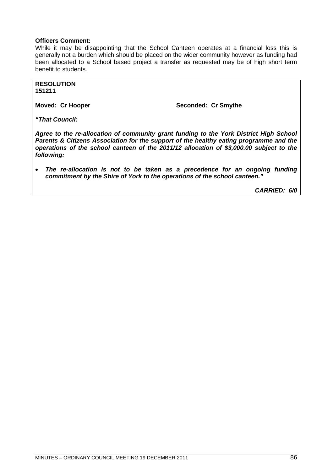# **Officers Comment:**

While it may be disappointing that the School Canteen operates at a financial loss this is generally not a burden which should be placed on the wider community however as funding had been allocated to a School based project a transfer as requested may be of high short term benefit to students.

**RESOLUTION 151211**

**Moved: Cr Hooper Seconded: Cr Smythe** 

*"That Council:*

*Agree to the re-allocation of community grant funding to the York District High School Parents & Citizens Association for the support of the healthy eating programme and the operations of the school canteen of the 2011/12 allocation of \$3,000.00 subject to the following:*

 *The re-allocation is not to be taken as a precedence for an ongoing funding commitment by the Shire of York to the operations of the school canteen."*

*CARRIED: 6/0*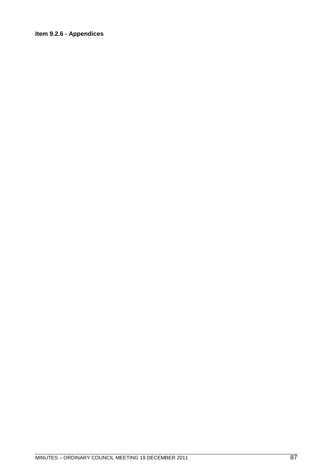# Item 9.2.6 - Appendices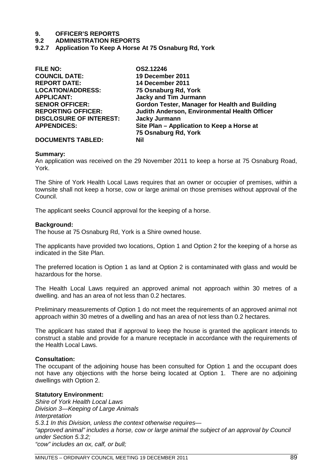# **9. OFFICER'S REPORTS**

## **9.2 ADMINISTRATION REPORTS**

**9.2.7 Application To Keep A Horse At 75 Osnaburg Rd, York**

| <b>FILE NO:</b>                | OS2.12246                                             |
|--------------------------------|-------------------------------------------------------|
| <b>COUNCIL DATE:</b>           | 19 December 2011                                      |
| <b>REPORT DATE:</b>            | 14 December 2011                                      |
| <b>LOCATION/ADDRESS:</b>       | 75 Osnaburg Rd, York                                  |
| <b>APPLICANT:</b>              | <b>Jacky and Tim Jurmann</b>                          |
| <b>SENIOR OFFICER:</b>         | <b>Gordon Tester, Manager for Health and Building</b> |
| <b>REPORTING OFFICER:</b>      | Judith Anderson, Environmental Health Officer         |
| <b>DISCLOSURE OF INTEREST:</b> | <b>Jacky Jurmann</b>                                  |
| <b>APPENDICES:</b>             | Site Plan - Application to Keep a Horse at            |
|                                | 75 Osnaburg Rd, York                                  |
| <b>DOCUMENTS TABLED:</b>       | Nil                                                   |

## **Summary:**

An application was received on the 29 November 2011 to keep a horse at 75 Osnaburg Road, York.

The Shire of York Health Local Laws requires that an owner or occupier of premises, within a townsite shall not keep a horse, cow or large animal on those premises without approval of the Council.

The applicant seeks Council approval for the keeping of a horse.

#### **Background:**

The house at 75 Osnaburg Rd, York is a Shire owned house.

The applicants have provided two locations, Option 1 and Option 2 for the keeping of a horse as indicated in the Site Plan.

The preferred location is Option 1 as land at Option 2 is contaminated with glass and would be hazardous for the horse.

The Health Local Laws required an approved animal not approach within 30 metres of a dwelling. and has an area of not less than 0.2 hectares.

Preliminary measurements of Option 1 do not meet the requirements of an approved animal not approach within 30 metres of a dwelling and has an area of not less than 0.2 hectares.

The applicant has stated that if approval to keep the house is granted the applicant intends to construct a stable and provide for a manure receptacle in accordance with the requirements of the Health Local Laws.

### **Consultation:**

The occupant of the adjoining house has been consulted for Option 1 and the occupant does not have any objections with the horse being located at Option 1. There are no adjoining dwellings with Option 2.

### **Statutory Environment:**

*Shire of York Health Local Laws Division 3—Keeping of Large Animals Interpretation 5.3.1 In this Division, unless the context otherwise requires— "approved animal" includes a horse, cow or large animal the subject of an approval by Council under Section 5.3.2; "cow" includes an ox, calf, or bull;*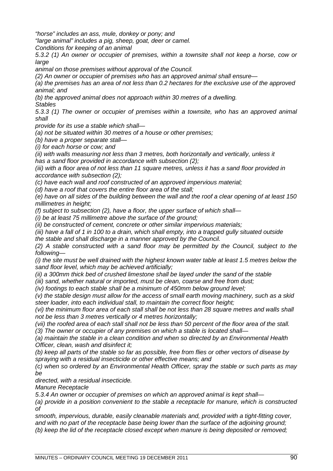*"horse" includes an ass, mule, donkey or pony; and*

*"large animal" includes a pig, sheep, goat, deer or camel.*

*Conditions for keeping of an animal*

*5.3.2 (1) An owner or occupier of premises, within a townsite shall not keep a horse, cow or large*

*animal on those premises without approval of the Council.*

*(2) An owner or occupier of premises who has an approved animal shall ensure—*

*(a) the premises has an area of not less than 0.2 hectares for the exclusive use of the approved animal; and*

*(b) the approved animal does not approach within 30 metres of a dwelling.*

*Stables*

*5.3.3 (1) The owner or occupier of premises within a townsite, who has an approved animal shall*

*provide for its use a stable which shall—*

*(a) not be situated within 30 metres of a house or other premises;*

*(b) have a proper separate stall—*

*(i) for each horse or cow; and*

*(ii) with walls measuring not less than 3 metres, both horizontally and vertically, unless it has a sand floor provided in accordance with subsection (2);*

*(iii) with a floor area of not less than 11 square metres, unless it has a sand floor provided in accordance with subsection (2);*

*(c) have each wall and roof constructed of an approved impervious material;*

*(d) have a roof that covers the entire floor area of the stall;*

*(e) have on all sides of the building between the wall and the roof a clear opening of at least 150 millimetres in height;*

*(f) subject to subsection (2), have a floor, the upper surface of which shall—*

*(i) be at least 75 millimetre above the surface of the ground;*

*(ii) be constructed of cement, concrete or other similar impervious materials;*

*(iii) have a fall of 1 in 100 to a drain, which shall empty, into a trapped gully situated outside*

*the stable and shall discharge in a manner approved by the Council.*

*(2) A stable constructed with a sand floor may be permitted by the Council, subject to the following—*

*(i) the site must be well drained with the highest known water table at least 1.5 metres below the sand floor level, which may be achieved artificially;*

*(ii) a 300mm thick bed of crushed limestone shall be layed under the sand of the stable*

*(iii) sand, whether natural or imported, must be clean, coarse and free from dust;*

*(iv) footings to each stable shall be a minimum of 450mm below ground level;*

*(v) the stable design must allow for the access of small earth moving machinery, such as a skid steer loader, into each individual stall, to maintain the correct floor height;*

*(vi) the minimum floor area of each stall shall be not less than 28 square metres and walls shall not be less than 3 metres vertically or 4 metres horizontally;*

*(vii) the roofed area of each stall shall not be less than 50 percent of the floor area of the stall. (3) The owner or occupier of any premises on which a stable is located shall—*

*(a) maintain the stable in a clean condition and when so directed by an Environmental Health Officer, clean, wash and disinfect it;*

*(b) keep all parts of the stable so far as possible, free from flies or other vectors of disease by spraying with a residual insecticide or other effective means; and*

*(c) when so ordered by an Environmental Health Officer, spray the stable or such parts as may be*

*directed, with a residual insecticide.*

*Manure Receptacle*

*5.3.4 An owner or occupier of premises on which an approved animal is kept shall—*

*(a) provide in a position convenient to the stable a receptacle for manure, which is constructed of*

*smooth, impervious, durable, easily cleanable materials and, provided with a tight-fitting cover, and with no part of the receptacle base being lower than the surface of the adjoining ground; (b) keep the lid of the receptacle closed except when manure is being deposited or removed;*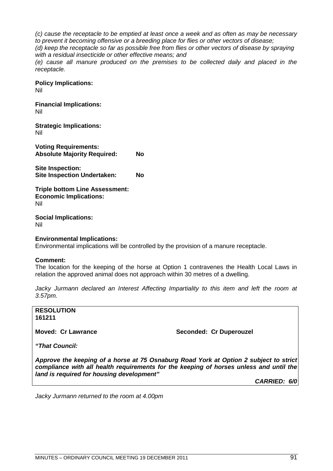*(c) cause the receptacle to be emptied at least once a week and as often as may be necessary to prevent it becoming offensive or a breeding place for flies or other vectors of disease;*

*(d) keep the receptacle so far as possible free from flies or other vectors of disease by spraying with a residual insecticide or other effective means; and*

*(e) cause all manure produced on the premises to be collected daily and placed in the receptacle.*

**Policy Implications:** Nil

**Financial Implications:** Nil

**Strategic Implications:** Nil

**Voting Requirements: Absolute Majority Required: No**

**Site Inspection: Site Inspection Undertaken: No**

**Triple bottom Line Assessment: Economic Implications:** Nil

**Social Implications:** Nil

## **Environmental Implications:**

Environmental implications will be controlled by the provision of a manure receptacle.

### **Comment:**

The location for the keeping of the horse at Option 1 contravenes the Health Local Laws in relation the approved animal does not approach within 30 metres of a dwelling.

*Jacky Jurmann declared an Interest Affecting Impartiality to this item and left the room at 3.57pm.*

**RESOLUTION 161211**

**Moved: Cr Lawrance Seconded: Cr Duperouzel** 

*"That Council:*

*Approve the keeping of a horse at 75 Osnaburg Road York at Option 2 subject to strict compliance with all health requirements for the keeping of horses unless and until the land is required for housing development"*

*CARRIED: 6/0*

*Jacky Jurmann returned to the room at 4.00pm*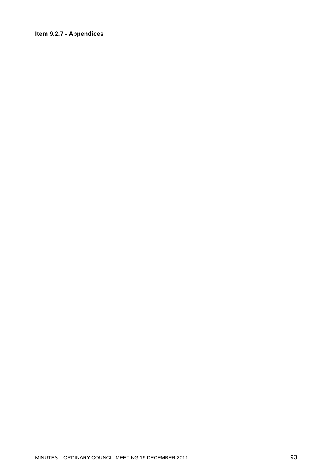# Item 9.2.7 - Appendices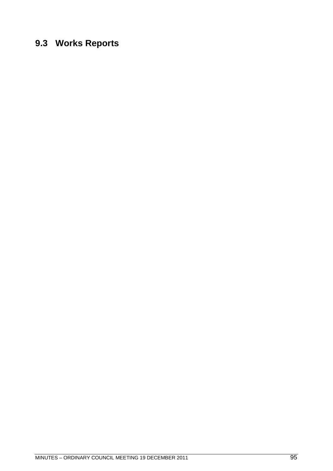# **9.3 Works Reports**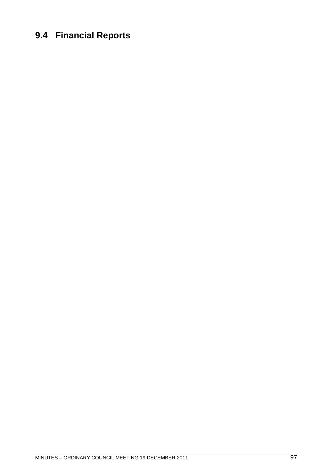# **9.4 Financial Reports**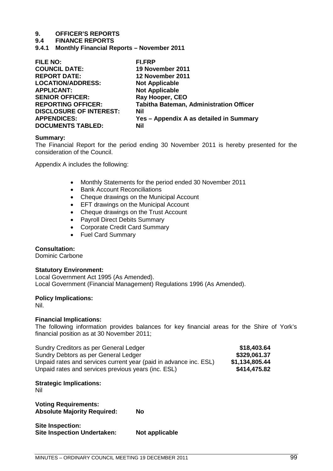# **9. OFFICER'S REPORTS**

### **9.4 FINANCE REPORTS**

**9.4.1 Monthly Financial Reports – November 2011**

| <b>FILE NO:</b>                | <b>FI.FRP</b>                                  |
|--------------------------------|------------------------------------------------|
| <b>COUNCIL DATE:</b>           | 19 November 2011                               |
| <b>REPORT DATE:</b>            | 12 November 2011                               |
| <b>LOCATION/ADDRESS:</b>       | <b>Not Applicable</b>                          |
| <b>APPLICANT:</b>              | <b>Not Applicable</b>                          |
| <b>SENIOR OFFICER:</b>         | Ray Hooper, CEO                                |
| <b>REPORTING OFFICER:</b>      | <b>Tabitha Bateman, Administration Officer</b> |
| <b>DISCLOSURE OF INTEREST:</b> | Nil                                            |
| <b>APPENDICES:</b>             | Yes - Appendix A as detailed in Summary        |
| <b>DOCUMENTS TABLED:</b>       | Nil                                            |
|                                |                                                |

### **Summary:**

The Financial Report for the period ending 30 November 2011 is hereby presented for the consideration of the Council.

Appendix A includes the following:

- Monthly Statements for the period ended 30 November 2011
- Bank Account Reconciliations
- Cheque drawings on the Municipal Account
- **EFT drawings on the Municipal Account**
- Cheque drawings on the Trust Account
- Payroll Direct Debits Summary
- Corporate Credit Card Summary
- Fuel Card Summary

### **Consultation:**

Dominic Carbone

### **Statutory Environment:**

Local Government Act 1995 (As Amended). Local Government (Financial Management) Regulations 1996 (As Amended).

### **Policy Implications:**

Nil.

### **Financial Implications:**

The following information provides balances for key financial areas for the Shire of York's financial position as at 30 November 2011;

| Sundry Creditors as per General Ledger                            | \$18,403.64    |
|-------------------------------------------------------------------|----------------|
| Sundry Debtors as per General Ledger                              | \$329,061.37   |
| Unpaid rates and services current year (paid in advance inc. ESL) | \$1,134,805.44 |
| Unpaid rates and services previous years (inc. ESL)               | \$414,475.82   |

## **Strategic Implications:**

Nil

**Voting Requirements: Absolute Majority Required: No**

| Site Inspection:                   |                |
|------------------------------------|----------------|
| <b>Site Inspection Undertaken:</b> | Not applicable |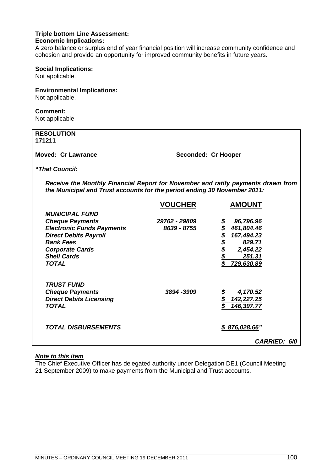### **Triple bottom Line Assessment: Economic Implications:**

A zero balance or surplus end of year financial position will increase community confidence and cohesion and provide an opportunity for improved community benefits in future years.

### **Social Implications:**

Not applicable.

# **Environmental Implications:**

Not applicable.

# **Comment:**

Not applicable

| <b>RESOLUTION</b><br>171211                                                                                                                                  |                     |                                      |
|--------------------------------------------------------------------------------------------------------------------------------------------------------------|---------------------|--------------------------------------|
| <b>Moved: Cr Lawrance</b>                                                                                                                                    | Seconded: Cr Hooper |                                      |
| "That Council:                                                                                                                                               |                     |                                      |
| Receive the Monthly Financial Report for November and ratify payments drawn from<br>the Municipal and Trust accounts for the period ending 30 November 2011: |                     |                                      |
|                                                                                                                                                              | <b>VOUCHER</b>      | <b>AMOUNT</b>                        |
| <b>MUNICIPAL FUND</b>                                                                                                                                        |                     |                                      |
| <b>Cheque Payments</b>                                                                                                                                       | 29762 - 29809       | 96,796.96<br>\$                      |
| <b>Electronic Funds Payments</b>                                                                                                                             | 8639 - 8755         | \$<br>461,804.46                     |
| <b>Direct Debits Payroll</b>                                                                                                                                 |                     | 167,494.23                           |
| <b>Bank Fees</b>                                                                                                                                             |                     | 829.71                               |
| <b>Corporate Cards</b>                                                                                                                                       |                     | 2,454.22                             |
| <b>Shell Cards</b>                                                                                                                                           |                     | \$\$\$\$\$<br>251.31                 |
| <b>TOTAL</b>                                                                                                                                                 |                     | 729,630.89                           |
| <b>TRUST FUND</b>                                                                                                                                            |                     |                                      |
| <b>Cheque Payments</b>                                                                                                                                       | 3894 - 3909         | 4,170.52                             |
| <b>Direct Debits Licensing</b>                                                                                                                               |                     | $\mathbf{\mathcal{L}}$<br>142,227.25 |
| <b>TOTAL</b>                                                                                                                                                 |                     | 146,397.77                           |
| <i><b>TOTAL DISBURSEMENTS</b></i>                                                                                                                            |                     | \$876,028.66'                        |

# *Note to this item*

The Chief Executive Officer has delegated authority under Delegation DE1 (Council Meeting 21 September 2009) to make payments from the Municipal and Trust accounts.

*CARRIED: 6/0*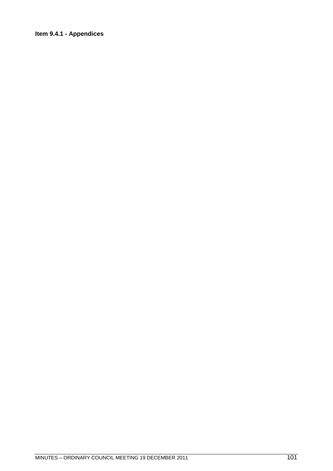# Item 9.4.1 - Appendices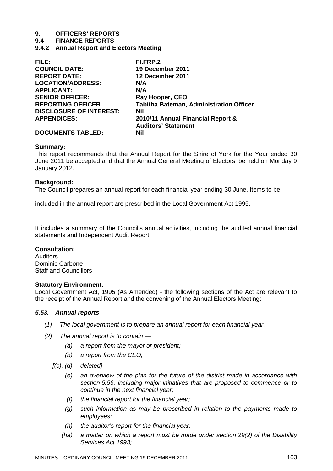# **9. OFFICERS' REPORTS**

## **9.4 FINANCE REPORTS**

**9.4.2 Annual Report and Electors Meeting**

| FILE:                          | FI.FRP.2                                |
|--------------------------------|-----------------------------------------|
| <b>COUNCIL DATE:</b>           | 19 December 2011                        |
| <b>REPORT DATE:</b>            | 12 December 2011                        |
| <b>LOCATION/ADDRESS:</b>       | N/A                                     |
| <b>APPLICANT:</b>              | N/A                                     |
| <b>SENIOR OFFICER:</b>         | Ray Hooper, CEO                         |
| <b>REPORTING OFFICER</b>       | Tabitha Bateman, Administration Officer |
| <b>DISCLOSURE OF INTEREST:</b> | Nil                                     |
| <b>APPENDICES:</b>             | 2010/11 Annual Financial Report &       |
|                                | <b>Auditors' Statement</b>              |
| <b>DOCUMENTS TABLED:</b>       | Nil                                     |

## **Summary:**

This report recommends that the Annual Report for the Shire of York for the Year ended 30 June 2011 be accepted and that the Annual General Meeting of Electors' be held on Monday 9 January 2012.

# **Background:**

The Council prepares an annual report for each financial year ending 30 June. Items to be

included in the annual report are prescribed in the Local Government Act 1995.

It includes a summary of the Council's annual activities, including the audited annual financial statements and Independent Audit Report.

# **Consultation:**

Auditors Dominic Carbone Staff and Councillors

### **Statutory Environment:**

Local Government Act, 1995 (As Amended) - the following sections of the Act are relevant to the receipt of the Annual Report and the convening of the Annual Electors Meeting:

# *5.53. Annual reports*

- *(1) The local government is to prepare an annual report for each financial year.*
- *(2) The annual report is to contain —*
	- *(a) a report from the mayor or president;*
	- *(b) a report from the CEO;*
	- *[(c), (d) deleted]*
		- *(e) an overview of the plan for the future of the district made in accordance with section 5.56, including major initiatives that are proposed to commence or to continue in the next financial year;*
		- *(f) the financial report for the financial year;*
		- *(g) such information as may be prescribed in relation to the payments made to employees;*
		- *(h) the auditor's report for the financial year;*
		- *(ha) a matter on which a report must be made under section 29(2) of the Disability Services Act 1993;*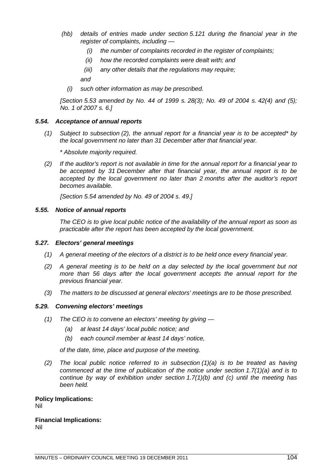- *(hb) details of entries made under section 5.121 during the financial year in the register of complaints, including —*
	- *(i) the number of complaints recorded in the register of complaints;*
	- *(ii) how the recorded complaints were dealt with; and*
	- *(iii) any other details that the regulations may require;*

*and*

*(i) such other information as may be prescribed.*

*[Section 5.53 amended by No. 44 of 1999 s. 28(3); No. 49 of 2004 s. 42(4) and (5); No. 1 of 2007 s. 6.]*

## *5.54. Acceptance of annual reports*

*(1) Subject to subsection (2), the annual report for a financial year is to be accepted\* by the local government no later than 31 December after that financial year.*

*\* Absolute majority required.*

*(2) If the auditor's report is not available in time for the annual report for a financial year to be accepted by 31 December after that financial year, the annual report is to be accepted by the local government no later than 2 months after the auditor's report becomes available.*

*[Section 5.54 amended by No. 49 of 2004 s. 49.]*

### *5.55. Notice of annual reports*

*The CEO is to give local public notice of the availability of the annual report as soon as practicable after the report has been accepted by the local government.*

### *5.27. Electors' general meetings*

- *(1) A general meeting of the electors of a district is to be held once every financial year.*
- *(2) A general meeting is to be held on a day selected by the local government but not more than 56 days after the local government accepts the annual report for the previous financial year.*
- *(3) The matters to be discussed at general electors' meetings are to be those prescribed.*

### *5.29. Convening electors' meetings*

- *(1) The CEO is to convene an electors' meeting by giving —*
	- *(a) at least 14 days' local public notice; and*
	- *(b) each council member at least 14 days' notice,*

*of the date, time, place and purpose of the meeting.*

*(2) The local public notice referred to in subsection (1)(a) is to be treated as having commenced at the time of publication of the notice under section 1.7(1)(a) and is to continue by way of exhibition under section 1.7(1)(b) and (c) until the meeting has been held.*

# **Policy Implications:**

Nil

#### **Financial Implications:** Nil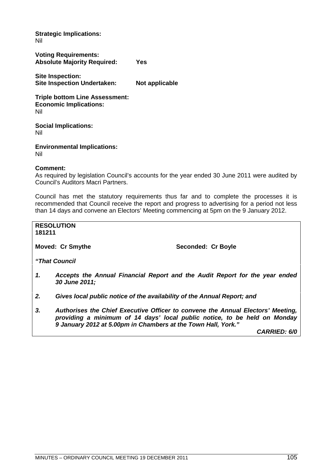**Strategic Implications:** Nil

**Voting Requirements: Absolute Majority Required: Yes**

**Site Inspection: Site Inspection Undertaken: Not applicable**

**Triple bottom Line Assessment: Economic Implications:** Nil

**Social Implications:** Nil

**Environmental Implications:** Nil

# **Comment:**

As required by legislation Council's accounts for the year ended 30 June 2011 were audited by Council's Auditors Macri Partners.

Council has met the statutory requirements thus far and to complete the processes it is recommended that Council receive the report and progress to advertising for a period not less than 14 days and convene an Electors' Meeting commencing at 5pm on the 9 January 2012.

**RESOLUTION 181211**

**Moved: Cr Smythe Seconded: Cr Boyle** 

*"That Council*

- *1. Accepts the Annual Financial Report and the Audit Report for the year ended 30 June 2011;*
- *2. Gives local public notice of the availability of the Annual Report; and*
- *3. Authorises the Chief Executive Officer to convene the Annual Electors' Meeting, providing a minimum of 14 days' local public notice, to be held on Monday 9 January 2012 at 5.00pm in Chambers at the Town Hall, York."*

*CARRIED: 6/0*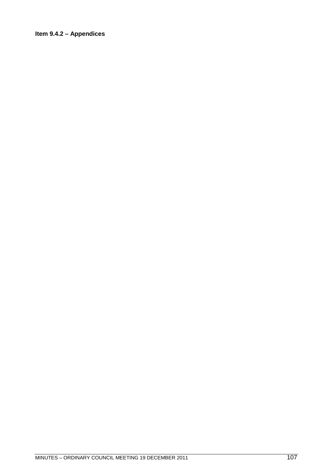# Item 9.4.2 - Appendices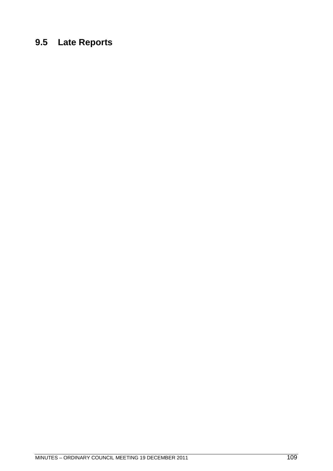# **9.5 Late Reports**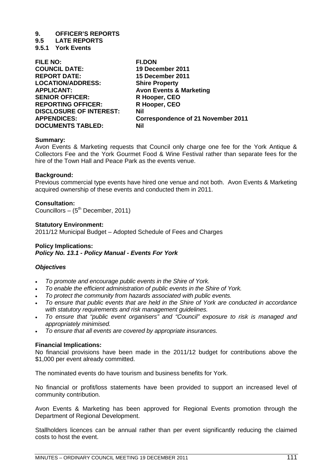# **9. OFFICER'S REPORTS**

**9.5 LATE REPORTS**

**9.5.1 York Events**

| <b>FILE NO:</b>                | <b>FI.DON</b>                             |
|--------------------------------|-------------------------------------------|
| <b>COUNCIL DATE:</b>           | 19 December 2011                          |
| <b>REPORT DATE:</b>            | 15 December 2011                          |
| <b>LOCATION/ADDRESS:</b>       | <b>Shire Property</b>                     |
| <b>APPLICANT:</b>              | <b>Avon Events &amp; Marketing</b>        |
| <b>SENIOR OFFICER:</b>         | R Hooper, CEO                             |
| <b>REPORTING OFFICER:</b>      | R Hooper, CEO                             |
| <b>DISCLOSURE OF INTEREST:</b> | Nil                                       |
| <b>APPENDICES:</b>             | <b>Correspondence of 21 November 2011</b> |
| <b>DOCUMENTS TABLED:</b>       | Nil                                       |
|                                |                                           |

### **Summary:**

Avon Events & Marketing requests that Council only charge one fee for the York Antique & Collectors Fee and the York Gourmet Food & Wine Festival rather than separate fees for the hire of the Town Hall and Peace Park as the events venue.

### **Background:**

Previous commercial type events have hired one venue and not both. Avon Events & Marketing acquired ownership of these events and conducted them in 2011.

# **Consultation:**

Councillors –  $(5<sup>th</sup> December, 2011)$ 

### **Statutory Environment:**

2011/12 Municipal Budget – Adopted Schedule of Fees and Charges

### **Policy Implications:** *Policy No. 13.1 - Policy Manual - Events For York*

# *Objectives*

- *To promote and encourage public events in the Shire of York.*
- *To enable the efficient administration of public events in the Shire of York.*
- *To protect the community from hazards associated with public events.*
- *To ensure that public events that are held in the Shire of York are conducted in accordance with statutory requirements and risk management guidelines.*
- *To ensure that "public event organisers" and "Council" exposure to risk is managed and appropriately minimised.*
- *To ensure that all events are covered by appropriate insurances.*

# **Financial Implications:**

No financial provisions have been made in the 2011/12 budget for contributions above the \$1,000 per event already committed.

The nominated events do have tourism and business benefits for York.

No financial or profit/loss statements have been provided to support an increased level of community contribution.

Avon Events & Marketing has been approved for Regional Events promotion through the Department of Regional Development.

Stallholders licences can be annual rather than per event significantly reducing the claimed costs to host the event.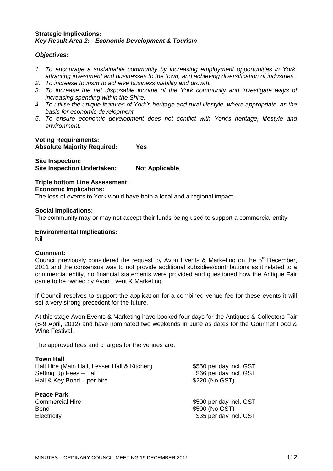# **Strategic Implications:** *Key Result Area 2: - Economic Development & Tourism*

# *Objectives:*

- *1. To encourage a sustainable community by increasing employment opportunities in York, attracting investment and businesses to the town, and achieving diversification of industries.*
- *2. To increase tourism to achieve business viability and growth.*
- *3. To increase the net disposable income of the York community and investigate ways of increasing spending within the Shire.*
- *4. To utilise the unique features of York's heritage and rural lifestyle, where appropriate, as the basis for economic development.*
- *5. To ensure economic development does not conflict with York's heritage, lifestyle and environment.*

# **Voting Requirements: Absolute Majority Required: Yes**

**Site Inspection: Site Inspection Undertaken: Not Applicable**

# **Triple bottom Line Assessment: Economic Implications:**

The loss of events to York would have both a local and a regional impact.

### **Social Implications:**

The community may or may not accept their funds being used to support a commercial entity.

# **Environmental Implications:**

Nil

# **Comment:**

Council previously considered the request by Avon Events & Marketing on the  $5<sup>th</sup>$  December, 2011 and the consensus was to not provide additional subsidies/contributions as it related to a commercial entity, no financial statements were provided and questioned how the Antique Fair came to be owned by Avon Event & Marketing.

If Council resolves to support the application for a combined venue fee for these events it will set a very strong precedent for the future.

At this stage Avon Events & Marketing have booked four days for the Antiques & Collectors Fair (6-9 April, 2012) and have nominated two weekends in June as dates for the Gourmet Food & Wine Festival.

The approved fees and charges for the venues are:

# **Town Hall**

| Hall Hire (Main Hall, Lesser Hall & Kitchen) | \$550 per day incl. GST |
|----------------------------------------------|-------------------------|
| Setting Up Fees - Hall                       | \$66 per day incl. GST  |
| Hall & Key Bond – per hire                   | \$220 (No GST)          |
| Dagra Dark                                   |                         |

**Peace Park** Bond \$500 (No GST)

Commercial Hire \$500 per day incl. GST Electricity **\$35 per day incl. GST**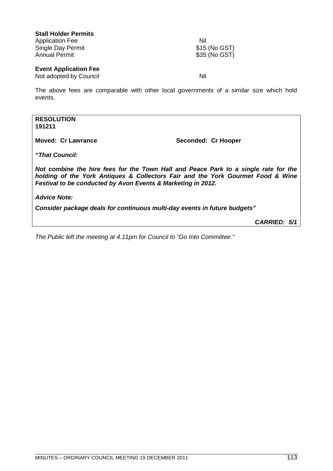| <b>Stall Holder Permits</b>  |               |
|------------------------------|---------------|
| <b>Application Fee</b>       | Nil           |
| Single Day Permit            | \$15 (No GST) |
| <b>Annual Permit</b>         | \$35 (No GST) |
| <b>Event Application Fee</b> |               |
| Not adopted by Council       | Nil           |

The above fees are comparable with other local governments of a similar size which hold events.

# **RESOLUTION 191211**

**Moved: Cr Lawrance Seconded: Cr Hooper** 

*"That Council:*

*Not combine the hire fees for the Town Hall and Peace Park to a single rate for the holding of the York Antiques & Collectors Fair and the York Gourmet Food & Wine Festival to be conducted by Avon Events & Marketing in 2012.*

*Advice Note:*

*Consider package deals for continuous multi-day events in future budgets"*

*CARRIED: 5/1*

*The Public left the meeting at 4.11pm for Council to "Go Into Committee."*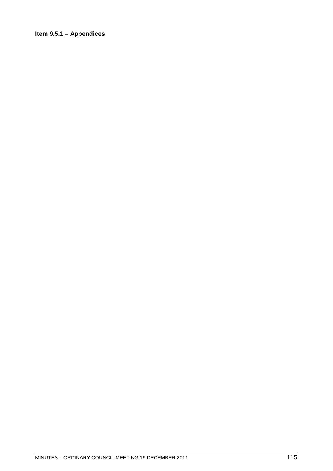# Item 9.5.1 - Appendices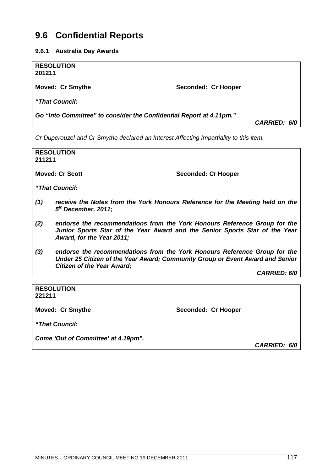# **9.6 Confidential Reports**

**9.6.1 Australia Day Awards**

| <b>RESOLUTION</b><br>201211                                                                |                     |  |  |
|--------------------------------------------------------------------------------------------|---------------------|--|--|
| <b>Moved: Cr Smythe</b>                                                                    | Seconded: Cr Hooper |  |  |
| "That Council:                                                                             |                     |  |  |
| Go "Into Committee" to consider the Confidential Report at 4.11pm."<br><b>CARRIED: 6/0</b> |                     |  |  |

*Cr Duperouzel and Cr Smythe declared an Interest Affecting Impartiality to this item.*

| 211211 | <b>RESOLUTION</b>                                                                                                                                                                               |
|--------|-------------------------------------------------------------------------------------------------------------------------------------------------------------------------------------------------|
|        | <b>Moved: Cr Scott</b><br><b>Seconded: Cr Hooper</b>                                                                                                                                            |
|        | "That Council:                                                                                                                                                                                  |
| (1)    | receive the Notes from the York Honours Reference for the Meeting held on the<br>$5th$ December, 2011;                                                                                          |
| (2)    | endorse the recommendations from the York Honours Reference Group for the<br>Junior Sports Star of the Year Award and the Senior Sports Star of the Year<br>Award, for the Year 2011;           |
| (3)    | endorse the recommendations from the York Honours Reference Group for the<br>Under 25 Citizen of the Year Award; Community Group or Event Award and Senior<br><b>Citizen of the Year Award;</b> |
|        | <b>CARRIED: 6/0</b>                                                                                                                                                                             |
|        |                                                                                                                                                                                                 |

**RESOLUTION 221211**

Moved: Cr Smythe **Seconded: Cr Hooper** 

*"That Council:*

*Come 'Out of Committee' at 4.19pm".*

*CARRIED: 6/0*